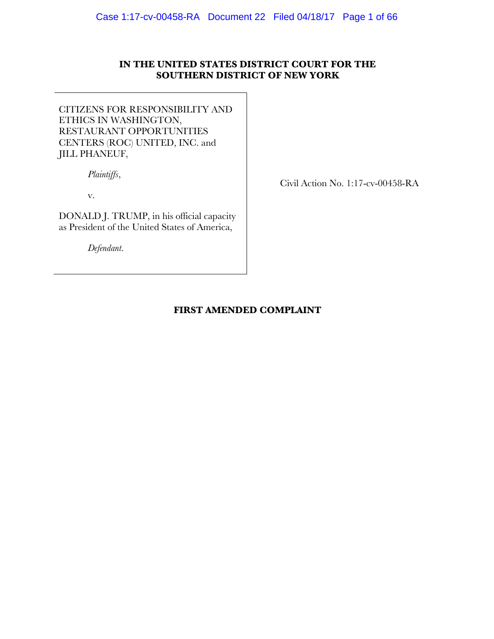## **IN THE UNITED STATES DISTRICT COURT FOR THE SOUTHERN DISTRICT OF NEW YORK**

CITIZENS FOR RESPONSIBILITY AND ETHICS IN WASHINGTON, RESTAURANT OPPORTUNITIES CENTERS (ROC) UNITED, INC. and JILL PHANEUF,

*Plaintiffs*,

v.

DONALD J. TRUMP, in his official capacity as President of the United States of America,

*Defendant*.

Civil Action No. 1:17-cv-00458-RA

## **FIRST AMENDED COMPLAINT**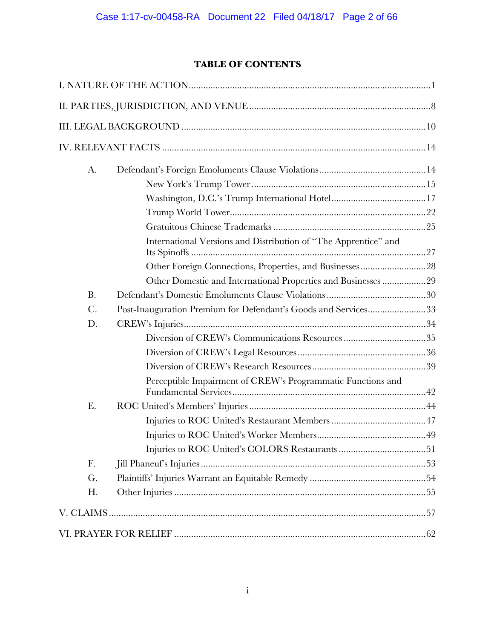# **TABLE OF CONTENTS**

| A.        |                                                                 |  |
|-----------|-----------------------------------------------------------------|--|
|           |                                                                 |  |
|           |                                                                 |  |
|           |                                                                 |  |
|           |                                                                 |  |
|           | International Versions and Distribution of "The Apprentice" and |  |
|           |                                                                 |  |
|           | Other Domestic and International Properties and Businesses 29   |  |
| <b>B.</b> |                                                                 |  |
| $C$ .     | Post-Inauguration Premium for Defendant's Goods and Services33  |  |
| D.        |                                                                 |  |
|           |                                                                 |  |
|           |                                                                 |  |
|           |                                                                 |  |
|           | Perceptible Impairment of CREW's Programmatic Functions and     |  |
| E.        |                                                                 |  |
|           |                                                                 |  |
|           |                                                                 |  |
|           |                                                                 |  |
| F.        |                                                                 |  |
| G.        |                                                                 |  |
| Η.        |                                                                 |  |
|           |                                                                 |  |
|           |                                                                 |  |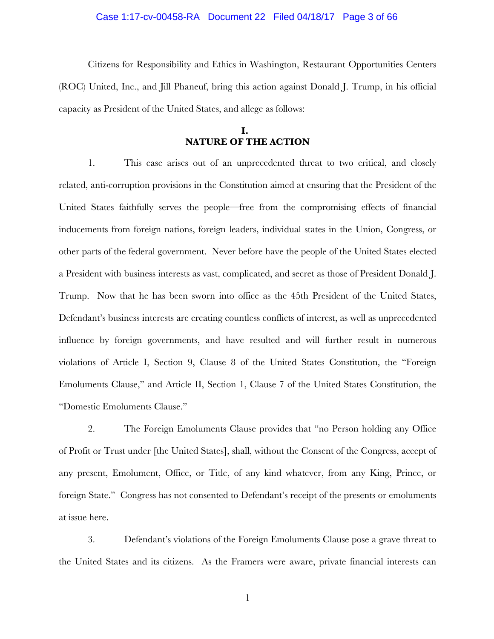### Case 1:17-cv-00458-RA Document 22 Filed 04/18/17 Page 3 of 66

Citizens for Responsibility and Ethics in Washington, Restaurant Opportunities Centers (ROC) United, Inc., and Jill Phaneuf, bring this action against Donald J. Trump, in his official capacity as President of the United States, and allege as follows:

## **I. NATURE OF THE ACTION**

1. This case arises out of an unprecedented threat to two critical, and closely related, anti-corruption provisions in the Constitution aimed at ensuring that the President of the United States faithfully serves the people—free from the compromising effects of financial inducements from foreign nations, foreign leaders, individual states in the Union, Congress, or other parts of the federal government. Never before have the people of the United States elected a President with business interests as vast, complicated, and secret as those of President Donald J. Trump. Now that he has been sworn into office as the 45th President of the United States, Defendant's business interests are creating countless conflicts of interest, as well as unprecedented influence by foreign governments, and have resulted and will further result in numerous violations of Article I, Section 9, Clause 8 of the United States Constitution, the "Foreign Emoluments Clause," and Article II, Section 1, Clause 7 of the United States Constitution, the "Domestic Emoluments Clause."

2. The Foreign Emoluments Clause provides that "no Person holding any Office of Profit or Trust under [the United States], shall, without the Consent of the Congress, accept of any present, Emolument, Office, or Title, of any kind whatever, from any King, Prince, or foreign State." Congress has not consented to Defendant's receipt of the presents or emoluments at issue here.

3. Defendant's violations of the Foreign Emoluments Clause pose a grave threat to the United States and its citizens. As the Framers were aware, private financial interests can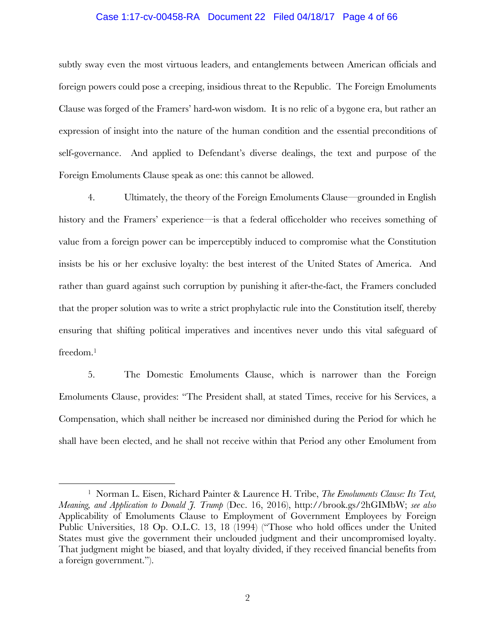### Case 1:17-cv-00458-RA Document 22 Filed 04/18/17 Page 4 of 66

subtly sway even the most virtuous leaders, and entanglements between American officials and foreign powers could pose a creeping, insidious threat to the Republic. The Foreign Emoluments Clause was forged of the Framers' hard-won wisdom. It is no relic of a bygone era, but rather an expression of insight into the nature of the human condition and the essential preconditions of self-governance. And applied to Defendant's diverse dealings, the text and purpose of the Foreign Emoluments Clause speak as one: this cannot be allowed.

4. Ultimately, the theory of the Foreign Emoluments Clause—grounded in English history and the Framers' experience—is that a federal officeholder who receives something of value from a foreign power can be imperceptibly induced to compromise what the Constitution insists be his or her exclusive loyalty: the best interest of the United States of America. And rather than guard against such corruption by punishing it after-the-fact, the Framers concluded that the proper solution was to write a strict prophylactic rule into the Constitution itself, thereby ensuring that shifting political imperatives and incentives never undo this vital safeguard of freedom.1

5. The Domestic Emoluments Clause, which is narrower than the Foreign Emoluments Clause, provides: "The President shall, at stated Times, receive for his Services, a Compensation, which shall neither be increased nor diminished during the Period for which he shall have been elected, and he shall not receive within that Period any other Emolument from

<sup>1</sup> Norman L. Eisen, Richard Painter & Laurence H. Tribe, *The Emoluments Clause: Its Text, Meaning, and Application to Donald J. Trump* (Dec. 16, 2016), http://brook.gs/2hGIMbW; *see also*  Applicability of Emoluments Clause to Employment of Government Employees by Foreign Public Universities, 18 Op. O.L.C. 13, 18 (1994) ("Those who hold offices under the United States must give the government their unclouded judgment and their uncompromised loyalty. That judgment might be biased, and that loyalty divided, if they received financial benefits from a foreign government.").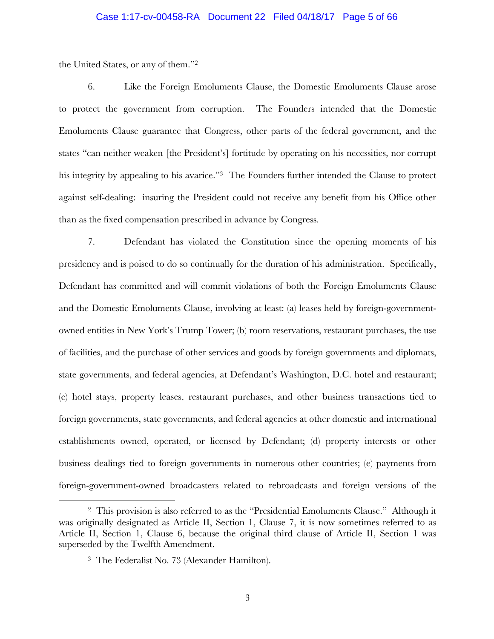### Case 1:17-cv-00458-RA Document 22 Filed 04/18/17 Page 5 of 66

the United States, or any of them."2

6. Like the Foreign Emoluments Clause, the Domestic Emoluments Clause arose to protect the government from corruption. The Founders intended that the Domestic Emoluments Clause guarantee that Congress, other parts of the federal government, and the states "can neither weaken [the President's] fortitude by operating on his necessities, nor corrupt his integrity by appealing to his avarice."<sup>3</sup> The Founders further intended the Clause to protect against self-dealing: insuring the President could not receive any benefit from his Office other than as the fixed compensation prescribed in advance by Congress.

7. Defendant has violated the Constitution since the opening moments of his presidency and is poised to do so continually for the duration of his administration. Specifically, Defendant has committed and will commit violations of both the Foreign Emoluments Clause and the Domestic Emoluments Clause, involving at least: (a) leases held by foreign-governmentowned entities in New York's Trump Tower; (b) room reservations, restaurant purchases, the use of facilities, and the purchase of other services and goods by foreign governments and diplomats, state governments, and federal agencies, at Defendant's Washington, D.C. hotel and restaurant; (c) hotel stays, property leases, restaurant purchases, and other business transactions tied to foreign governments, state governments, and federal agencies at other domestic and international establishments owned, operated, or licensed by Defendant; (d) property interests or other business dealings tied to foreign governments in numerous other countries; (e) payments from foreign-government-owned broadcasters related to rebroadcasts and foreign versions of the

<sup>&</sup>lt;sup>2</sup> This provision is also referred to as the "Presidential Emoluments Clause." Although it was originally designated as Article II, Section 1, Clause 7, it is now sometimes referred to as Article II, Section 1, Clause 6, because the original third clause of Article II, Section 1 was superseded by the Twelfth Amendment.

<sup>3</sup> The Federalist No. 73 (Alexander Hamilton).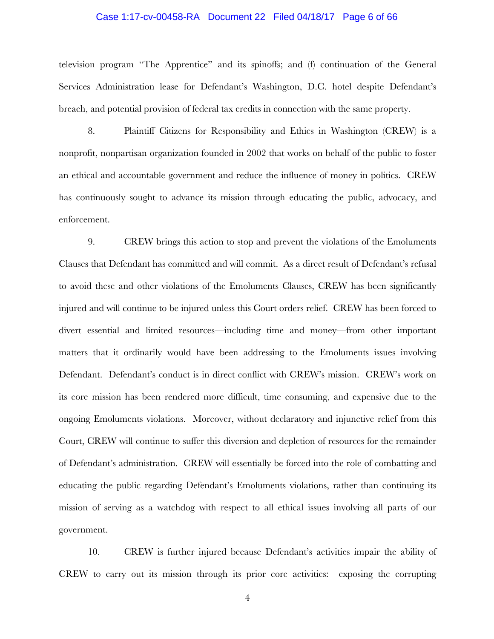## Case 1:17-cv-00458-RA Document 22 Filed 04/18/17 Page 6 of 66

television program "The Apprentice" and its spinoffs; and (f) continuation of the General Services Administration lease for Defendant's Washington, D.C. hotel despite Defendant's breach, and potential provision of federal tax credits in connection with the same property.

8. Plaintiff Citizens for Responsibility and Ethics in Washington (CREW) is a nonprofit, nonpartisan organization founded in 2002 that works on behalf of the public to foster an ethical and accountable government and reduce the influence of money in politics. CREW has continuously sought to advance its mission through educating the public, advocacy, and enforcement.

9. CREW brings this action to stop and prevent the violations of the Emoluments Clauses that Defendant has committed and will commit. As a direct result of Defendant's refusal to avoid these and other violations of the Emoluments Clauses, CREW has been significantly injured and will continue to be injured unless this Court orders relief. CREW has been forced to divert essential and limited resources—including time and money—from other important matters that it ordinarily would have been addressing to the Emoluments issues involving Defendant. Defendant's conduct is in direct conflict with CREW's mission. CREW's work on its core mission has been rendered more difficult, time consuming, and expensive due to the ongoing Emoluments violations. Moreover, without declaratory and injunctive relief from this Court, CREW will continue to suffer this diversion and depletion of resources for the remainder of Defendant's administration. CREW will essentially be forced into the role of combatting and educating the public regarding Defendant's Emoluments violations, rather than continuing its mission of serving as a watchdog with respect to all ethical issues involving all parts of our government.

10. CREW is further injured because Defendant's activities impair the ability of CREW to carry out its mission through its prior core activities: exposing the corrupting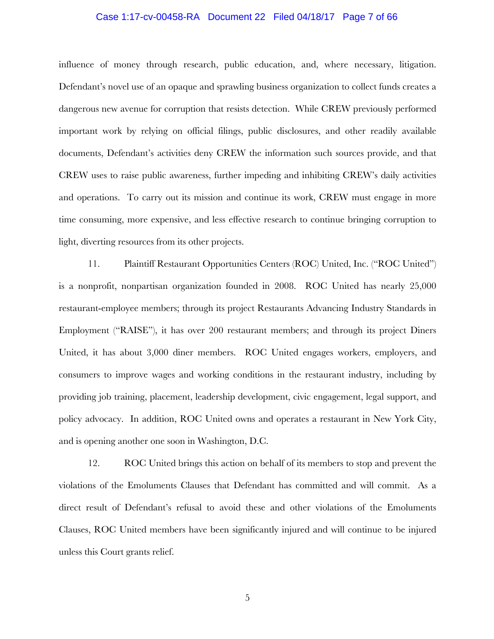## Case 1:17-cv-00458-RA Document 22 Filed 04/18/17 Page 7 of 66

influence of money through research, public education, and, where necessary, litigation. Defendant's novel use of an opaque and sprawling business organization to collect funds creates a dangerous new avenue for corruption that resists detection. While CREW previously performed important work by relying on official filings, public disclosures, and other readily available documents, Defendant's activities deny CREW the information such sources provide, and that CREW uses to raise public awareness, further impeding and inhibiting CREW's daily activities and operations. To carry out its mission and continue its work, CREW must engage in more time consuming, more expensive, and less effective research to continue bringing corruption to light, diverting resources from its other projects.

11. Plaintiff Restaurant Opportunities Centers (ROC) United, Inc. ("ROC United") is a nonprofit, nonpartisan organization founded in 2008. ROC United has nearly 25,000 restaurant-employee members; through its project Restaurants Advancing Industry Standards in Employment ("RAISE"), it has over 200 restaurant members; and through its project Diners United, it has about 3,000 diner members. ROC United engages workers, employers, and consumers to improve wages and working conditions in the restaurant industry, including by providing job training, placement, leadership development, civic engagement, legal support, and policy advocacy. In addition, ROC United owns and operates a restaurant in New York City, and is opening another one soon in Washington, D.C.

12. ROC United brings this action on behalf of its members to stop and prevent the violations of the Emoluments Clauses that Defendant has committed and will commit. As a direct result of Defendant's refusal to avoid these and other violations of the Emoluments Clauses, ROC United members have been significantly injured and will continue to be injured unless this Court grants relief.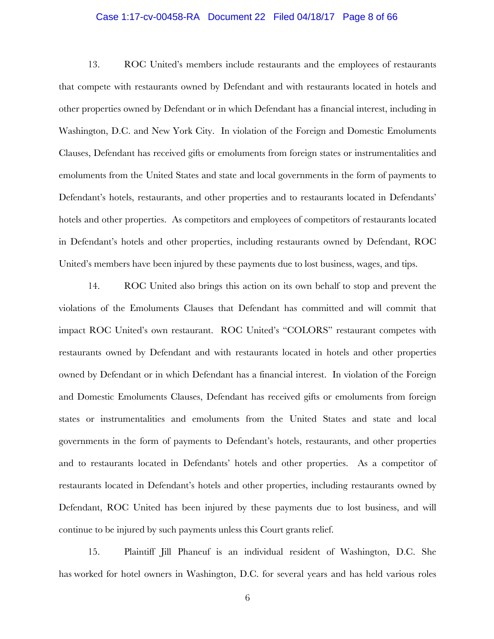#### Case 1:17-cv-00458-RA Document 22 Filed 04/18/17 Page 8 of 66

13. ROC United's members include restaurants and the employees of restaurants that compete with restaurants owned by Defendant and with restaurants located in hotels and other properties owned by Defendant or in which Defendant has a financial interest, including in Washington, D.C. and New York City. In violation of the Foreign and Domestic Emoluments Clauses, Defendant has received gifts or emoluments from foreign states or instrumentalities and emoluments from the United States and state and local governments in the form of payments to Defendant's hotels, restaurants, and other properties and to restaurants located in Defendants' hotels and other properties. As competitors and employees of competitors of restaurants located in Defendant's hotels and other properties, including restaurants owned by Defendant, ROC United's members have been injured by these payments due to lost business, wages, and tips.

14. ROC United also brings this action on its own behalf to stop and prevent the violations of the Emoluments Clauses that Defendant has committed and will commit that impact ROC United's own restaurant. ROC United's "COLORS" restaurant competes with restaurants owned by Defendant and with restaurants located in hotels and other properties owned by Defendant or in which Defendant has a financial interest. In violation of the Foreign and Domestic Emoluments Clauses, Defendant has received gifts or emoluments from foreign states or instrumentalities and emoluments from the United States and state and local governments in the form of payments to Defendant's hotels, restaurants, and other properties and to restaurants located in Defendants' hotels and other properties. As a competitor of restaurants located in Defendant's hotels and other properties, including restaurants owned by Defendant, ROC United has been injured by these payments due to lost business, and will continue to be injured by such payments unless this Court grants relief.

15. Plaintiff Jill Phaneuf is an individual resident of Washington, D.C. She has worked for hotel owners in Washington, D.C. for several years and has held various roles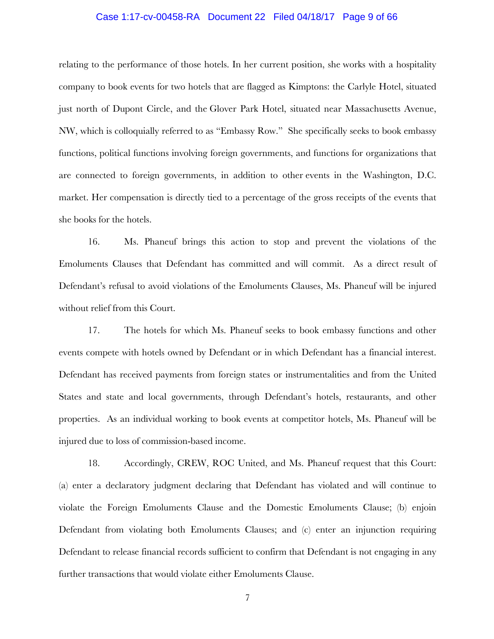#### Case 1:17-cv-00458-RA Document 22 Filed 04/18/17 Page 9 of 66

relating to the performance of those hotels. In her current position, she works with a hospitality company to book events for two hotels that are flagged as Kimptons: the Carlyle Hotel, situated just north of Dupont Circle, and the Glover Park Hotel, situated near Massachusetts Avenue, NW, which is colloquially referred to as "Embassy Row." She specifically seeks to book embassy functions, political functions involving foreign governments, and functions for organizations that are connected to foreign governments, in addition to other events in the Washington, D.C. market. Her compensation is directly tied to a percentage of the gross receipts of the events that she books for the hotels.

16. Ms. Phaneuf brings this action to stop and prevent the violations of the Emoluments Clauses that Defendant has committed and will commit. As a direct result of Defendant's refusal to avoid violations of the Emoluments Clauses, Ms. Phaneuf will be injured without relief from this Court.

17. The hotels for which Ms. Phaneuf seeks to book embassy functions and other events compete with hotels owned by Defendant or in which Defendant has a financial interest. Defendant has received payments from foreign states or instrumentalities and from the United States and state and local governments, through Defendant's hotels, restaurants, and other properties. As an individual working to book events at competitor hotels, Ms. Phaneuf will be injured due to loss of commission-based income.

18. Accordingly, CREW, ROC United, and Ms. Phaneuf request that this Court: (a) enter a declaratory judgment declaring that Defendant has violated and will continue to violate the Foreign Emoluments Clause and the Domestic Emoluments Clause; (b) enjoin Defendant from violating both Emoluments Clauses; and (c) enter an injunction requiring Defendant to release financial records sufficient to confirm that Defendant is not engaging in any further transactions that would violate either Emoluments Clause.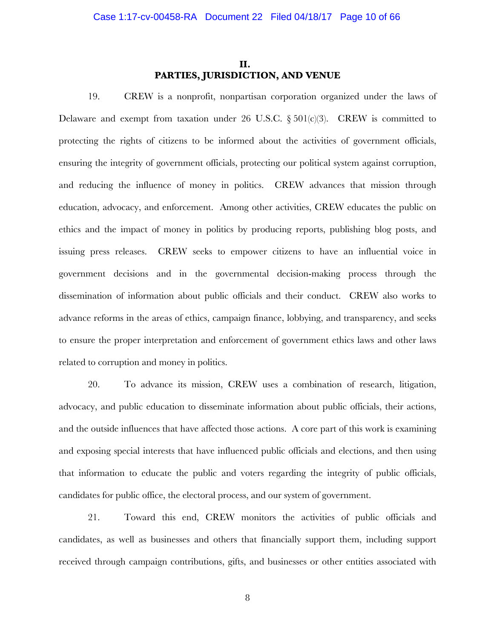## **II. PARTIES, JURISDICTION, AND VENUE**

19. CREW is a nonprofit, nonpartisan corporation organized under the laws of Delaware and exempt from taxation under 26 U.S.C.  $\S 501(c)(3)$ . CREW is committed to protecting the rights of citizens to be informed about the activities of government officials, ensuring the integrity of government officials, protecting our political system against corruption, and reducing the influence of money in politics. CREW advances that mission through education, advocacy, and enforcement. Among other activities, CREW educates the public on ethics and the impact of money in politics by producing reports, publishing blog posts, and issuing press releases. CREW seeks to empower citizens to have an influential voice in government decisions and in the governmental decision-making process through the dissemination of information about public officials and their conduct. CREW also works to advance reforms in the areas of ethics, campaign finance, lobbying, and transparency, and seeks to ensure the proper interpretation and enforcement of government ethics laws and other laws related to corruption and money in politics.

20. To advance its mission, CREW uses a combination of research, litigation, advocacy, and public education to disseminate information about public officials, their actions, and the outside influences that have affected those actions. A core part of this work is examining and exposing special interests that have influenced public officials and elections, and then using that information to educate the public and voters regarding the integrity of public officials, candidates for public office, the electoral process, and our system of government.

21. Toward this end, CREW monitors the activities of public officials and candidates, as well as businesses and others that financially support them, including support received through campaign contributions, gifts, and businesses or other entities associated with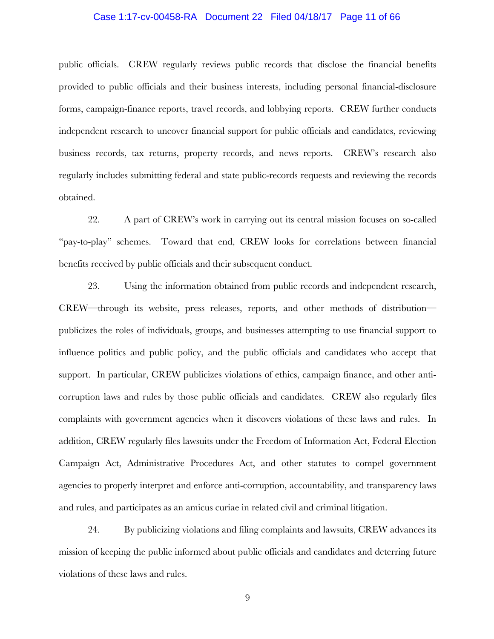#### Case 1:17-cv-00458-RA Document 22 Filed 04/18/17 Page 11 of 66

public officials. CREW regularly reviews public records that disclose the financial benefits provided to public officials and their business interests, including personal financial-disclosure forms, campaign-finance reports, travel records, and lobbying reports. CREW further conducts independent research to uncover financial support for public officials and candidates, reviewing business records, tax returns, property records, and news reports. CREW's research also regularly includes submitting federal and state public-records requests and reviewing the records obtained.

22. A part of CREW's work in carrying out its central mission focuses on so-called "pay-to-play" schemes. Toward that end, CREW looks for correlations between financial benefits received by public officials and their subsequent conduct.

23. Using the information obtained from public records and independent research, CREW—through its website, press releases, reports, and other methods of distribution publicizes the roles of individuals, groups, and businesses attempting to use financial support to influence politics and public policy, and the public officials and candidates who accept that support. In particular, CREW publicizes violations of ethics, campaign finance, and other anticorruption laws and rules by those public officials and candidates. CREW also regularly files complaints with government agencies when it discovers violations of these laws and rules. In addition, CREW regularly files lawsuits under the Freedom of Information Act, Federal Election Campaign Act, Administrative Procedures Act, and other statutes to compel government agencies to properly interpret and enforce anti-corruption, accountability, and transparency laws and rules, and participates as an amicus curiae in related civil and criminal litigation.

24. By publicizing violations and filing complaints and lawsuits, CREW advances its mission of keeping the public informed about public officials and candidates and deterring future violations of these laws and rules.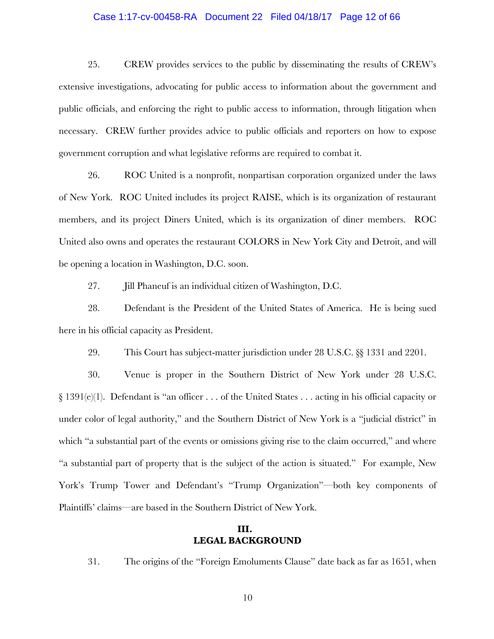### Case 1:17-cv-00458-RA Document 22 Filed 04/18/17 Page 12 of 66

25. CREW provides services to the public by disseminating the results of CREW's extensive investigations, advocating for public access to information about the government and public officials, and enforcing the right to public access to information, through litigation when necessary. CREW further provides advice to public officials and reporters on how to expose government corruption and what legislative reforms are required to combat it.

26. ROC United is a nonprofit, nonpartisan corporation organized under the laws of New York. ROC United includes its project RAISE, which is its organization of restaurant members, and its project Diners United, which is its organization of diner members. ROC United also owns and operates the restaurant COLORS in New York City and Detroit, and will be opening a location in Washington, D.C. soon.

27. Jill Phaneuf is an individual citizen of Washington, D.C.

28. Defendant is the President of the United States of America. He is being sued here in his official capacity as President.

29. This Court has subject-matter jurisdiction under 28 U.S.C. §§ 1331 and 2201.

30. Venue is proper in the Southern District of New York under 28 U.S.C. § 1391(e)(1). Defendant is "an officer . . . of the United States . . . acting in his official capacity or under color of legal authority," and the Southern District of New York is a "judicial district" in which "a substantial part of the events or omissions giving rise to the claim occurred," and where "a substantial part of property that is the subject of the action is situated." For example, New York's Trump Tower and Defendant's "Trump Organization"—both key components of Plaintiffs' claims—are based in the Southern District of New York.

## **III. LEGAL BACKGROUND**

31. The origins of the "Foreign Emoluments Clause" date back as far as 1651, when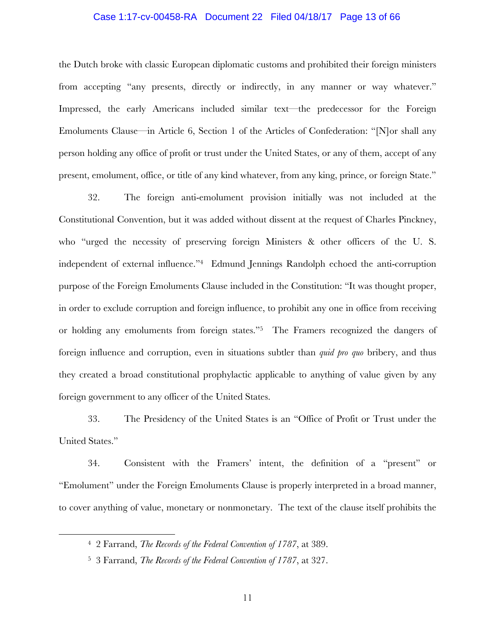### Case 1:17-cv-00458-RA Document 22 Filed 04/18/17 Page 13 of 66

the Dutch broke with classic European diplomatic customs and prohibited their foreign ministers from accepting "any presents, directly or indirectly, in any manner or way whatever." Impressed, the early Americans included similar text—the predecessor for the Foreign Emoluments Clause—in Article 6, Section 1 of the Articles of Confederation: "[N]or shall any person holding any office of profit or trust under the United States, or any of them, accept of any present, emolument, office, or title of any kind whatever, from any king, prince, or foreign State."

32. The foreign anti-emolument provision initially was not included at the Constitutional Convention, but it was added without dissent at the request of Charles Pinckney, who "urged the necessity of preserving foreign Ministers & other officers of the U. S. independent of external influence."4 Edmund Jennings Randolph echoed the anti-corruption purpose of the Foreign Emoluments Clause included in the Constitution: "It was thought proper, in order to exclude corruption and foreign influence, to prohibit any one in office from receiving or holding any emoluments from foreign states."5 The Framers recognized the dangers of foreign influence and corruption, even in situations subtler than *quid pro quo* bribery, and thus they created a broad constitutional prophylactic applicable to anything of value given by any foreign government to any officer of the United States.

33. The Presidency of the United States is an "Office of Profit or Trust under the United States."

34. Consistent with the Framers' intent, the definition of a "present" or "Emolument" under the Foreign Emoluments Clause is properly interpreted in a broad manner, to cover anything of value, monetary or nonmonetary. The text of the clause itself prohibits the

<sup>4 2</sup> Farrand, *The Records of the Federal Convention of 1787*, at 389.

<sup>5 3</sup> Farrand, *The Records of the Federal Convention of 1787*, at 327.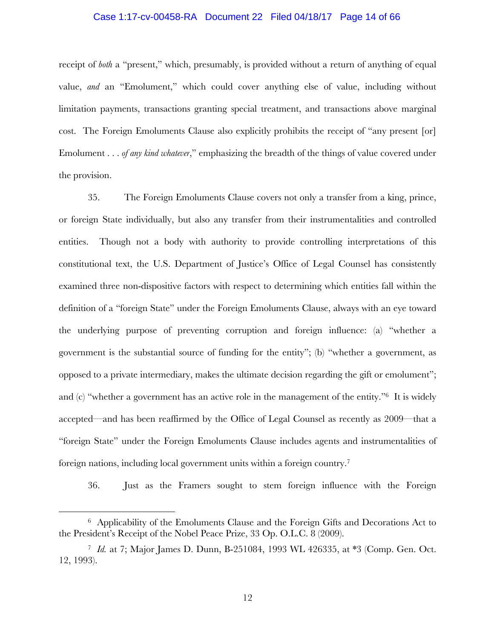### Case 1:17-cv-00458-RA Document 22 Filed 04/18/17 Page 14 of 66

receipt of *both* a "present," which, presumably, is provided without a return of anything of equal value, *and* an "Emolument," which could cover anything else of value, including without limitation payments, transactions granting special treatment, and transactions above marginal cost. The Foreign Emoluments Clause also explicitly prohibits the receipt of "any present [or] Emolument . . . *of any kind whatever*," emphasizing the breadth of the things of value covered under the provision.

35. The Foreign Emoluments Clause covers not only a transfer from a king, prince, or foreign State individually, but also any transfer from their instrumentalities and controlled entities. Though not a body with authority to provide controlling interpretations of this constitutional text, the U.S. Department of Justice's Office of Legal Counsel has consistently examined three non-dispositive factors with respect to determining which entities fall within the definition of a "foreign State" under the Foreign Emoluments Clause, always with an eye toward the underlying purpose of preventing corruption and foreign influence: (a) "whether a government is the substantial source of funding for the entity"; (b) "whether a government, as opposed to a private intermediary, makes the ultimate decision regarding the gift or emolument"; and (c) "whether a government has an active role in the management of the entity."6 It is widely accepted—and has been reaffirmed by the Office of Legal Counsel as recently as 2009—that a "foreign State" under the Foreign Emoluments Clause includes agents and instrumentalities of foreign nations, including local government units within a foreign country. 7

36. Just as the Framers sought to stem foreign influence with the Foreign

<u>.</u>

<sup>6</sup> Applicability of the Emoluments Clause and the Foreign Gifts and Decorations Act to the President's Receipt of the Nobel Peace Prize, 33 Op. O.L.C. 8 (2009).

<sup>7</sup> *Id.* at 7; Major James D. Dunn, B-251084, 1993 WL 426335, at \*3 (Comp. Gen. Oct. 12, 1993).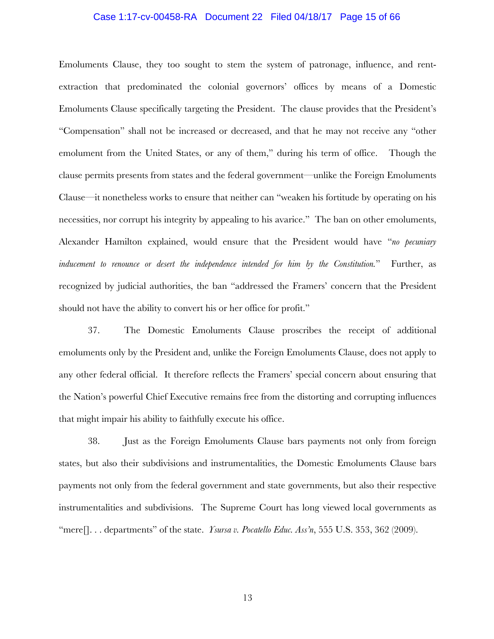### Case 1:17-cv-00458-RA Document 22 Filed 04/18/17 Page 15 of 66

Emoluments Clause, they too sought to stem the system of patronage, influence, and rentextraction that predominated the colonial governors' offices by means of a Domestic Emoluments Clause specifically targeting the President. The clause provides that the President's "Compensation" shall not be increased or decreased, and that he may not receive any "other emolument from the United States, or any of them," during his term of office. Though the clause permits presents from states and the federal government—unlike the Foreign Emoluments Clause—it nonetheless works to ensure that neither can "weaken his fortitude by operating on his necessities, nor corrupt his integrity by appealing to his avarice." The ban on other emoluments, Alexander Hamilton explained, would ensure that the President would have "*no pecuniary inducement to renounce or desert the independence intended for him by the Constitution.*" Further, as recognized by judicial authorities, the ban "addressed the Framers' concern that the President should not have the ability to convert his or her office for profit."

37. The Domestic Emoluments Clause proscribes the receipt of additional emoluments only by the President and, unlike the Foreign Emoluments Clause, does not apply to any other federal official. It therefore reflects the Framers' special concern about ensuring that the Nation's powerful Chief Executive remains free from the distorting and corrupting influences that might impair his ability to faithfully execute his office.

38. Just as the Foreign Emoluments Clause bars payments not only from foreign states, but also their subdivisions and instrumentalities, the Domestic Emoluments Clause bars payments not only from the federal government and state governments, but also their respective instrumentalities and subdivisions. The Supreme Court has long viewed local governments as "mere[]. . . departments" of the state. *Ysursa v. Pocatello Educ. Ass'n*, 555 U.S. 353, 362 (2009).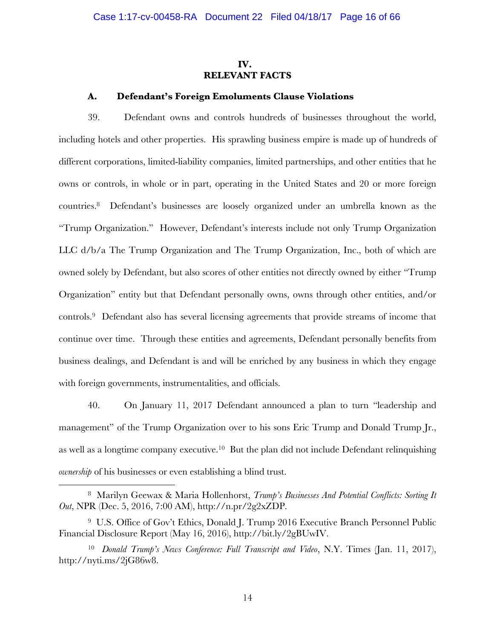### **IV. RELEVANT FACTS**

### **A. Defendant's Foreign Emoluments Clause Violations**

39. Defendant owns and controls hundreds of businesses throughout the world, including hotels and other properties. His sprawling business empire is made up of hundreds of different corporations, limited-liability companies, limited partnerships, and other entities that he owns or controls, in whole or in part, operating in the United States and 20 or more foreign countries.8 Defendant's businesses are loosely organized under an umbrella known as the "Trump Organization." However, Defendant's interests include not only Trump Organization LLC d/b/a The Trump Organization and The Trump Organization, Inc., both of which are owned solely by Defendant, but also scores of other entities not directly owned by either "Trump Organization" entity but that Defendant personally owns, owns through other entities, and/or controls.9 Defendant also has several licensing agreements that provide streams of income that continue over time. Through these entities and agreements, Defendant personally benefits from business dealings, and Defendant is and will be enriched by any business in which they engage with foreign governments, instrumentalities, and officials.

40. On January 11, 2017 Defendant announced a plan to turn "leadership and management" of the Trump Organization over to his sons Eric Trump and Donald Trump Jr., as well as a longtime company executive.10 But the plan did not include Defendant relinquishing *ownership* of his businesses or even establishing a blind trust.

<u>.</u>

<sup>8</sup> Marilyn Geewax & Maria Hollenhorst, *Trump's Businesses And Potential Conflicts: Sorting It Out*, NPR (Dec. 5, 2016, 7:00 AM), http://n.pr/2g2xZDP.

<sup>9</sup> U.S. Office of Gov't Ethics, Donald J. Trump 2016 Executive Branch Personnel Public Financial Disclosure Report (May 16, 2016), http://bit.ly/2gBUwIV.

<sup>10</sup> *Donald Trump's News Conference: Full Transcript and Video*, N.Y. Times (Jan. 11, 2017), http://nyti.ms/2jG86w8.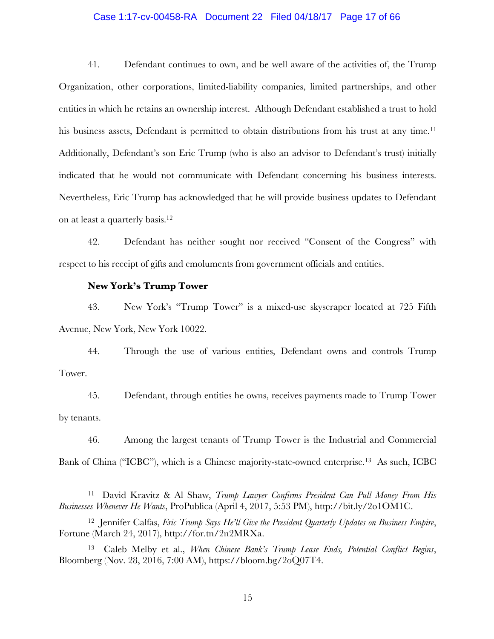### Case 1:17-cv-00458-RA Document 22 Filed 04/18/17 Page 17 of 66

41. Defendant continues to own, and be well aware of the activities of, the Trump Organization, other corporations, limited-liability companies, limited partnerships, and other entities in which he retains an ownership interest. Although Defendant established a trust to hold his business assets, Defendant is permitted to obtain distributions from his trust at any time.<sup>11</sup> Additionally, Defendant's son Eric Trump (who is also an advisor to Defendant's trust) initially indicated that he would not communicate with Defendant concerning his business interests. Nevertheless, Eric Trump has acknowledged that he will provide business updates to Defendant on at least a quarterly basis.12

42. Defendant has neither sought nor received "Consent of the Congress" with respect to his receipt of gifts and emoluments from government officials and entities.

### **New York's Trump Tower**

<u>.</u>

43. New York's "Trump Tower" is a mixed-use skyscraper located at 725 Fifth Avenue, New York, New York 10022.

44. Through the use of various entities, Defendant owns and controls Trump Tower.

45. Defendant, through entities he owns, receives payments made to Trump Tower by tenants.

46. Among the largest tenants of Trump Tower is the Industrial and Commercial Bank of China ("ICBC"), which is a Chinese majority-state-owned enterprise.<sup>13</sup> As such, ICBC

<sup>11</sup> David Kravitz & Al Shaw, *Trump Lawyer Confirms President Can Pull Money From His Businesses Whenever He Wants*, ProPublica (April 4, 2017, 5:53 PM), http://bit.ly/2o1OM1C.

<sup>12</sup> Jennifer Calfas, *Eric Trump Says He'll Give the President Quarterly Updates on Business Empire*, Fortune (March 24, 2017), http://for.tn/2n2MRXa.

<sup>13</sup> Caleb Melby et al., *When Chinese Bank's Trump Lease Ends, Potential Conflict Begins*, Bloomberg (Nov. 28, 2016, 7:00 AM), https://bloom.bg/2oQ07T4.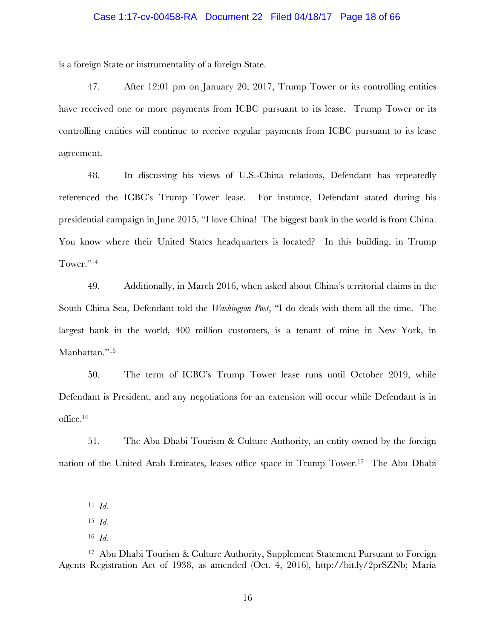### Case 1:17-cv-00458-RA Document 22 Filed 04/18/17 Page 18 of 66

is a foreign State or instrumentality of a foreign State.

47. After 12:01 pm on January 20, 2017, Trump Tower or its controlling entities have received one or more payments from ICBC pursuant to its lease. Trump Tower or its controlling entities will continue to receive regular payments from ICBC pursuant to its lease agreement.

48. In discussing his views of U.S.-China relations, Defendant has repeatedly referenced the ICBC's Trump Tower lease. For instance, Defendant stated during his presidential campaign in June 2015, "I love China! The biggest bank in the world is from China. You know where their United States headquarters is located? In this building, in Trump Tower."14

49. Additionally, in March 2016, when asked about China's territorial claims in the South China Sea, Defendant told the *Washington Post*, "I do deals with them all the time. The largest bank in the world, 400 million customers, is a tenant of mine in New York, in Manhattan."<sup>15</sup>

50. The term of ICBC's Trump Tower lease runs until October 2019, while Defendant is President, and any negotiations for an extension will occur while Defendant is in office.16

51. The Abu Dhabi Tourism & Culture Authority, an entity owned by the foreign nation of the United Arab Emirates, leases office space in Trump Tower.17 The Abu Dhabi

<sup>14</sup> *Id.*

<sup>15</sup> *Id.*

<sup>16</sup> *Id.*

<sup>17</sup> Abu Dhabi Tourism & Culture Authority, Supplement Statement Pursuant to Foreign Agents Registration Act of 1938, as amended (Oct. 4, 2016), http://bit.ly/2prSZNb; María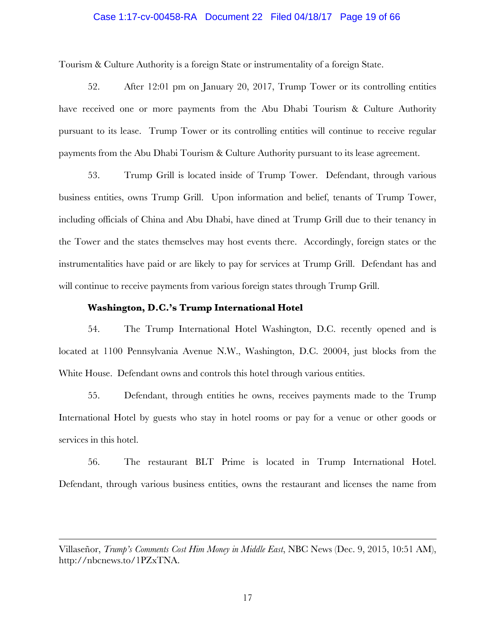### Case 1:17-cv-00458-RA Document 22 Filed 04/18/17 Page 19 of 66

Tourism & Culture Authority is a foreign State or instrumentality of a foreign State.

52. After 12:01 pm on January 20, 2017, Trump Tower or its controlling entities have received one or more payments from the Abu Dhabi Tourism & Culture Authority pursuant to its lease. Trump Tower or its controlling entities will continue to receive regular payments from the Abu Dhabi Tourism & Culture Authority pursuant to its lease agreement.

53. Trump Grill is located inside of Trump Tower. Defendant, through various business entities, owns Trump Grill. Upon information and belief, tenants of Trump Tower, including officials of China and Abu Dhabi, have dined at Trump Grill due to their tenancy in the Tower and the states themselves may host events there. Accordingly, foreign states or the instrumentalities have paid or are likely to pay for services at Trump Grill. Defendant has and will continue to receive payments from various foreign states through Trump Grill.

### **Washington, D.C.'s Trump International Hotel**

 $\overline{a}$ 

54. The Trump International Hotel Washington, D.C. recently opened and is located at 1100 Pennsylvania Avenue N.W., Washington, D.C. 20004, just blocks from the White House. Defendant owns and controls this hotel through various entities.

55. Defendant, through entities he owns, receives payments made to the Trump International Hotel by guests who stay in hotel rooms or pay for a venue or other goods or services in this hotel.

56. The restaurant BLT Prime is located in Trump International Hotel. Defendant, through various business entities, owns the restaurant and licenses the name from

Villaseñor, *Trump's Comments Cost Him Money in Middle East*, NBC News (Dec. 9, 2015, 10:51 AM), http://nbcnews.to/1PZxTNA.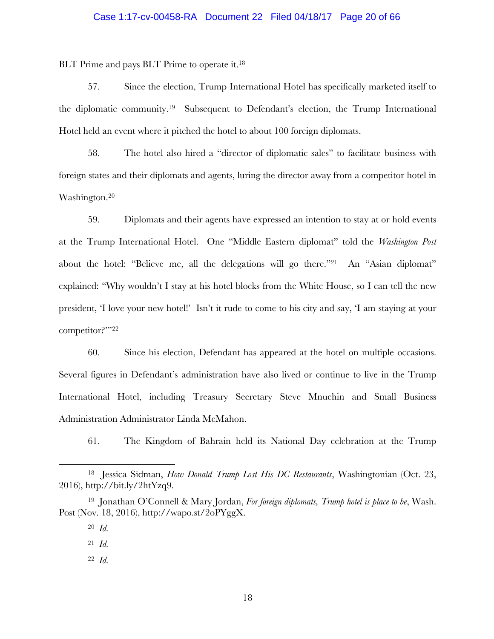### Case 1:17-cv-00458-RA Document 22 Filed 04/18/17 Page 20 of 66

BLT Prime and pays BLT Prime to operate it.<sup>18</sup>

57. Since the election, Trump International Hotel has specifically marketed itself to the diplomatic community. 19 Subsequent to Defendant's election, the Trump International Hotel held an event where it pitched the hotel to about 100 foreign diplomats.

58. The hotel also hired a "director of diplomatic sales" to facilitate business with foreign states and their diplomats and agents, luring the director away from a competitor hotel in Washington. 20

59. Diplomats and their agents have expressed an intention to stay at or hold events at the Trump International Hotel. One "Middle Eastern diplomat" told the *Washington Post* about the hotel: "Believe me, all the delegations will go there."<sup>21</sup> An "Asian diplomat" explained: "Why wouldn't I stay at his hotel blocks from the White House, so I can tell the new president, 'I love your new hotel!' Isn't it rude to come to his city and say, 'I am staying at your competitor?'"22

60. Since his election, Defendant has appeared at the hotel on multiple occasions. Several figures in Defendant's administration have also lived or continue to live in the Trump International Hotel, including Treasury Secretary Steve Mnuchin and Small Business Administration Administrator Linda McMahon.

61. The Kingdom of Bahrain held its National Day celebration at the Trump

<sup>18</sup> Jessica Sidman, *How Donald Trump Lost His DC Restaurants*, Washingtonian (Oct. 23, 2016), http://bit.ly/2htYzq9.

<sup>19</sup> Jonathan O'Connell & Mary Jordan, *For foreign diplomats, Trump hotel is place to be*, Wash. Post (Nov. 18, 2016), http://wapo.st/2oPYggX.

<sup>20</sup> *Id.*

<sup>21</sup> *Id.*

<sup>22</sup> *Id.*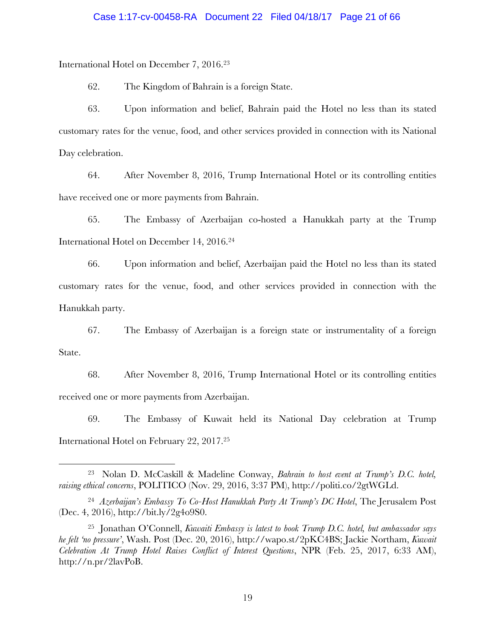International Hotel on December 7, 2016.23

1

62. The Kingdom of Bahrain is a foreign State.

63. Upon information and belief, Bahrain paid the Hotel no less than its stated customary rates for the venue, food, and other services provided in connection with its National Day celebration.

64. After November 8, 2016, Trump International Hotel or its controlling entities have received one or more payments from Bahrain.

65. The Embassy of Azerbaijan co-hosted a Hanukkah party at the Trump International Hotel on December 14, 2016.24

66. Upon information and belief, Azerbaijan paid the Hotel no less than its stated customary rates for the venue, food, and other services provided in connection with the Hanukkah party.

67. The Embassy of Azerbaijan is a foreign state or instrumentality of a foreign State.

68. After November 8, 2016, Trump International Hotel or its controlling entities received one or more payments from Azerbaijan.

69. The Embassy of Kuwait held its National Day celebration at Trump International Hotel on February 22, 2017.25

<sup>23</sup> Nolan D. McCaskill & Madeline Conway, *Bahrain to host event at Trump's D.C. hotel, raising ethical concerns*, POLITICO (Nov. 29, 2016, 3:37 PM), http://politi.co/2gtWGLd.

<sup>24</sup> *Azerbaijan's Embassy To Co-Host Hanukkah Party At Trump's DC Hotel*, The Jerusalem Post (Dec. 4, 2016), http://bit.ly/2g4o9S0.

<sup>25</sup> Jonathan O'Connell, *Kuwaiti Embassy is latest to book Trump D.C. hotel, but ambassador says he felt 'no pressure'*, Wash. Post (Dec. 20, 2016), http://wapo.st/2pKC4BS; Jackie Northam, *Kuwait Celebration At Trump Hotel Raises Conflict of Interest Questions*, NPR (Feb. 25, 2017, 6:33 AM), http://n.pr/2lavPoB.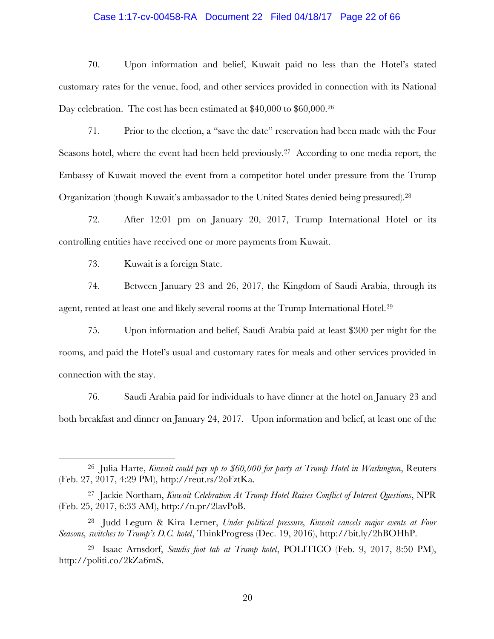### Case 1:17-cv-00458-RA Document 22 Filed 04/18/17 Page 22 of 66

70. Upon information and belief, Kuwait paid no less than the Hotel's stated customary rates for the venue, food, and other services provided in connection with its National Day celebration. The cost has been estimated at \$40,000 to \$60,000.26

71. Prior to the election, a "save the date" reservation had been made with the Four Seasons hotel, where the event had been held previously.<sup>27</sup> According to one media report, the Embassy of Kuwait moved the event from a competitor hotel under pressure from the Trump Organization (though Kuwait's ambassador to the United States denied being pressured). 28

72. After 12:01 pm on January 20, 2017, Trump International Hotel or its controlling entities have received one or more payments from Kuwait.

73. Kuwait is a foreign State.

1

74. Between January 23 and 26, 2017, the Kingdom of Saudi Arabia, through its agent, rented at least one and likely several rooms at the Trump International Hotel.29

75. Upon information and belief, Saudi Arabia paid at least \$300 per night for the rooms, and paid the Hotel's usual and customary rates for meals and other services provided in connection with the stay.

76. Saudi Arabia paid for individuals to have dinner at the hotel on January 23 and both breakfast and dinner on January 24, 2017. Upon information and belief, at least one of the

<sup>26</sup> Julia Harte, *Kuwait could pay up to \$60,000 for party at Trump Hotel in Washington*, Reuters (Feb. 27, 2017, 4:29 PM), http://reut.rs/2oFztKa.

<sup>27</sup> Jackie Northam, *Kuwait Celebration At Trump Hotel Raises Conflict of Interest Questions*, NPR (Feb. 25, 2017, 6:33 AM), http://n.pr/2lavPoB.

<sup>28</sup> Judd Legum & Kira Lerner, *Under political pressure, Kuwait cancels major events at Four Seasons, switches to Trump's D.C. hotel*, ThinkProgress (Dec. 19, 2016), http://bit.ly/2hBOHhP.

<sup>29</sup> Isaac Arnsdorf, *Saudis foot tab at Trump hotel*, POLITICO (Feb. 9, 2017, 8:50 PM), http://politi.co/2kZa6mS.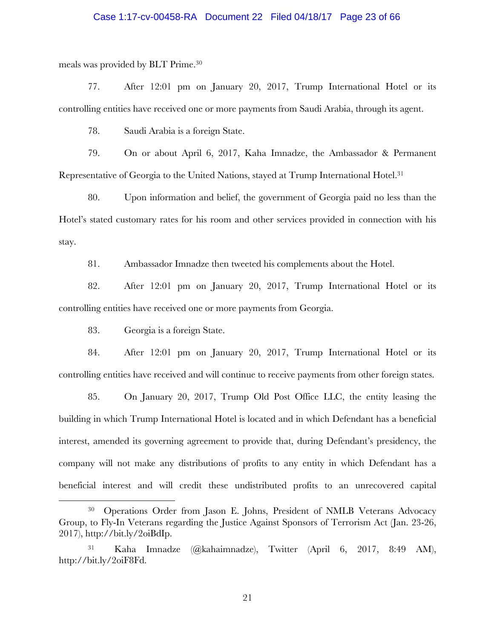### Case 1:17-cv-00458-RA Document 22 Filed 04/18/17 Page 23 of 66

meals was provided by BLT Prime. 30

77. After 12:01 pm on January 20, 2017, Trump International Hotel or its controlling entities have received one or more payments from Saudi Arabia, through its agent.

78. Saudi Arabia is a foreign State.

79. On or about April 6, 2017, Kaha Imnadze, the Ambassador & Permanent Representative of Georgia to the United Nations, stayed at Trump International Hotel. 31

80. Upon information and belief, the government of Georgia paid no less than the Hotel's stated customary rates for his room and other services provided in connection with his stay.

81. Ambassador Imnadze then tweeted his complements about the Hotel.

82. After 12:01 pm on January 20, 2017, Trump International Hotel or its controlling entities have received one or more payments from Georgia.

83. Georgia is a foreign State.

1

84. After 12:01 pm on January 20, 2017, Trump International Hotel or its controlling entities have received and will continue to receive payments from other foreign states.

85. On January 20, 2017, Trump Old Post Office LLC, the entity leasing the building in which Trump International Hotel is located and in which Defendant has a beneficial interest, amended its governing agreement to provide that, during Defendant's presidency, the company will not make any distributions of profits to any entity in which Defendant has a beneficial interest and will credit these undistributed profits to an unrecovered capital

<sup>30</sup> Operations Order from Jason E. Johns, President of NMLB Veterans Advocacy Group, to Fly-In Veterans regarding the Justice Against Sponsors of Terrorism Act (Jan. 23-26, 2017), http://bit.ly/2oiBdIp.

<sup>31</sup> Kaha Imnadze (@kahaimnadze), Twitter (April 6, 2017, 8:49 AM), http://bit.ly/2oiF8Fd.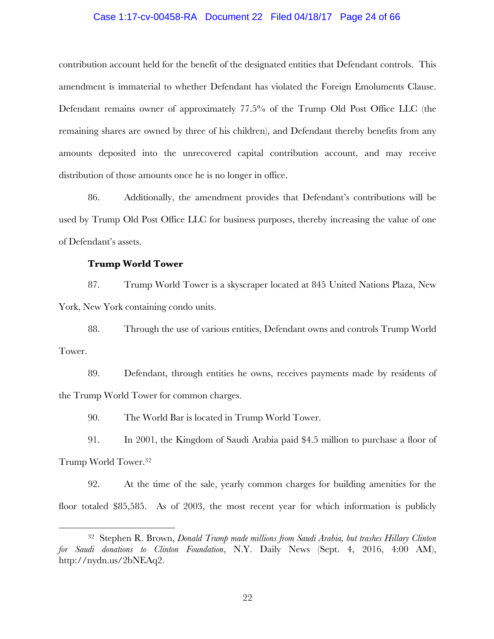### Case 1:17-cv-00458-RA Document 22 Filed 04/18/17 Page 24 of 66

contribution account held for the benefit of the designated entities that Defendant controls. This amendment is immaterial to whether Defendant has violated the Foreign Emoluments Clause. Defendant remains owner of approximately 77.5% of the Trump Old Post Office LLC (the remaining shares are owned by three of his children), and Defendant thereby benefits from any amounts deposited into the unrecovered capital contribution account, and may receive distribution of those amounts once he is no longer in office.

86. Additionally, the amendment provides that Defendant's contributions will be used by Trump Old Post Office LLC for business purposes, thereby increasing the value of one of Defendant's assets.

### **Trump World Tower**

1

87. Trump World Tower is a skyscraper located at 845 United Nations Plaza, New York, New York containing condo units.

88. Through the use of various entities, Defendant owns and controls Trump World Tower.

89. Defendant, through entities he owns, receives payments made by residents of the Trump World Tower for common charges.

90. The World Bar is located in Trump World Tower.

91. In 2001, the Kingdom of Saudi Arabia paid \$4.5 million to purchase a floor of Trump World Tower. 32

92. At the time of the sale, yearly common charges for building amenities for the floor totaled \$85,585. As of 2003, the most recent year for which information is publicly

<sup>32</sup> Stephen R. Brown, *Donald Trump made millions from Saudi Arabia, but trashes Hillary Clinton for Saudi donations to Clinton Foundation*, N.Y. Daily News (Sept. 4, 2016, 4:00 AM), http://nydn.us/2bNEAq2.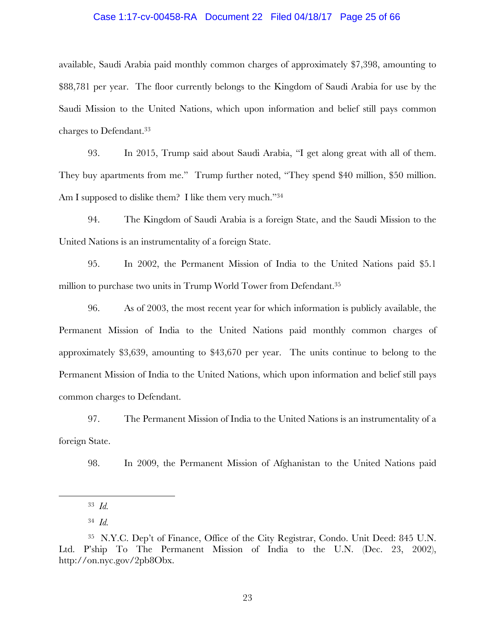### Case 1:17-cv-00458-RA Document 22 Filed 04/18/17 Page 25 of 66

available, Saudi Arabia paid monthly common charges of approximately \$7,398, amounting to \$88,781 per year. The floor currently belongs to the Kingdom of Saudi Arabia for use by the Saudi Mission to the United Nations, which upon information and belief still pays common charges to Defendant. 33

93. In 2015, Trump said about Saudi Arabia, "I get along great with all of them. They buy apartments from me." Trump further noted, "They spend \$40 million, \$50 million. Am I supposed to dislike them? I like them very much."34

94. The Kingdom of Saudi Arabia is a foreign State, and the Saudi Mission to the United Nations is an instrumentality of a foreign State.

95. In 2002, the Permanent Mission of India to the United Nations paid \$5.1 million to purchase two units in Trump World Tower from Defendant. 35

96. As of 2003, the most recent year for which information is publicly available, the Permanent Mission of India to the United Nations paid monthly common charges of approximately \$3,639, amounting to \$43,670 per year. The units continue to belong to the Permanent Mission of India to the United Nations, which upon information and belief still pays common charges to Defendant.

97. The Permanent Mission of India to the United Nations is an instrumentality of a foreign State.

98. In 2009, the Permanent Mission of Afghanistan to the United Nations paid

<sup>33</sup> *Id.*

<sup>34</sup> *Id.*

<sup>35</sup> N.Y.C. Dep't of Finance, Office of the City Registrar, Condo. Unit Deed: 845 U.N. Ltd. P'ship To The Permanent Mission of India to the U.N. (Dec. 23, 2002), http://on.nyc.gov/2pb8Obx.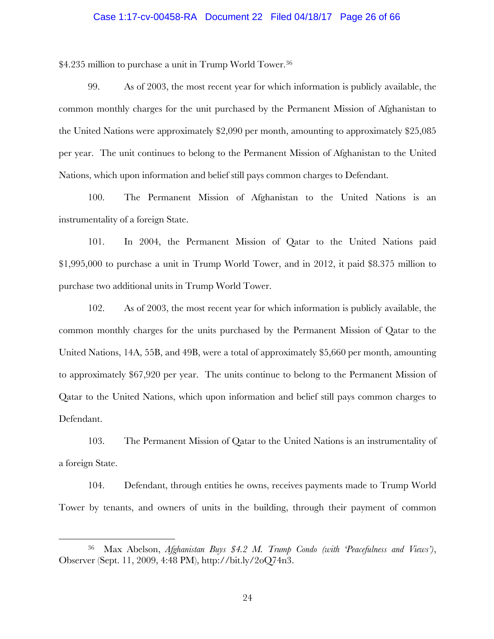### Case 1:17-cv-00458-RA Document 22 Filed 04/18/17 Page 26 of 66

\$4.235 million to purchase a unit in Trump World Tower.<sup>36</sup>

99. As of 2003, the most recent year for which information is publicly available, the common monthly charges for the unit purchased by the Permanent Mission of Afghanistan to the United Nations were approximately \$2,090 per month, amounting to approximately \$25,085 per year. The unit continues to belong to the Permanent Mission of Afghanistan to the United Nations, which upon information and belief still pays common charges to Defendant.

100. The Permanent Mission of Afghanistan to the United Nations is an instrumentality of a foreign State.

101. In 2004, the Permanent Mission of Qatar to the United Nations paid \$1,995,000 to purchase a unit in Trump World Tower, and in 2012, it paid \$8.375 million to purchase two additional units in Trump World Tower.

102. As of 2003, the most recent year for which information is publicly available, the common monthly charges for the units purchased by the Permanent Mission of Qatar to the United Nations, 14A, 55B, and 49B, were a total of approximately \$5,660 per month, amounting to approximately \$67,920 per year. The units continue to belong to the Permanent Mission of Qatar to the United Nations, which upon information and belief still pays common charges to Defendant.

103. The Permanent Mission of Qatar to the United Nations is an instrumentality of a foreign State.

104. Defendant, through entities he owns, receives payments made to Trump World Tower by tenants, and owners of units in the building, through their payment of common

<sup>36</sup> Max Abelson, *Afghanistan Buys \$4.2 M. Trump Condo (with 'Peacefulness and Views')*, Observer (Sept. 11, 2009, 4:48 PM), http://bit.ly/2oQ74n3.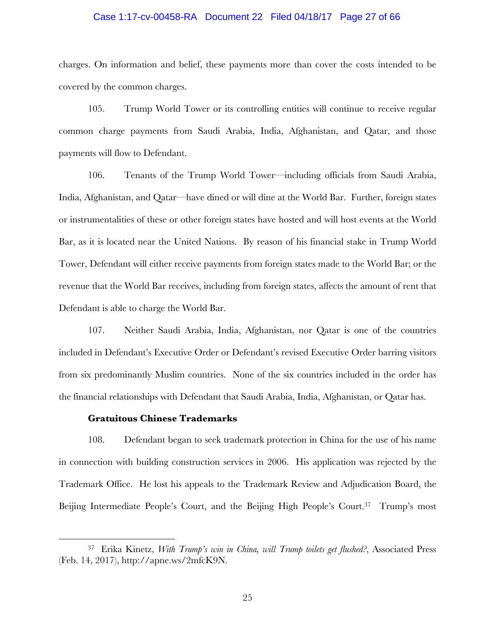### Case 1:17-cv-00458-RA Document 22 Filed 04/18/17 Page 27 of 66

charges. On information and belief, these payments more than cover the costs intended to be covered by the common charges.

105. Trump World Tower or its controlling entities will continue to receive regular common charge payments from Saudi Arabia, India, Afghanistan, and Qatar, and those payments will flow to Defendant.

106. Tenants of the Trump World Tower—including officials from Saudi Arabia, India, Afghanistan, and Qatar—have dined or will dine at the World Bar. Further, foreign states or instrumentalities of these or other foreign states have hosted and will host events at the World Bar, as it is located near the United Nations. By reason of his financial stake in Trump World Tower, Defendant will either receive payments from foreign states made to the World Bar; or the revenue that the World Bar receives, including from foreign states, affects the amount of rent that Defendant is able to charge the World Bar.

107. Neither Saudi Arabia, India, Afghanistan, nor Qatar is one of the countries included in Defendant's Executive Order or Defendant's revised Executive Order barring visitors from six predominantly Muslim countries. None of the six countries included in the order has the financial relationships with Defendant that Saudi Arabia, India, Afghanistan, or Qatar has.

### **Gratuitous Chinese Trademarks**

1

108. Defendant began to seek trademark protection in China for the use of his name in connection with building construction services in 2006. His application was rejected by the Trademark Office. He lost his appeals to the Trademark Review and Adjudication Board, the Beijing Intermediate People's Court, and the Beijing High People's Court.<sup>37</sup> Trump's most

<sup>37</sup> Erika Kinetz, *With Trump's win in China, will Trump toilets get flushed?*, Associated Press (Feb. 14, 2017), http://apne.ws/2mfcK9N.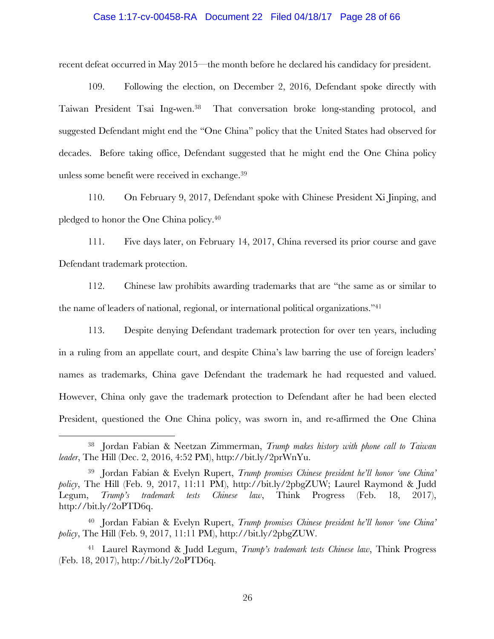### Case 1:17-cv-00458-RA Document 22 Filed 04/18/17 Page 28 of 66

recent defeat occurred in May 2015—the month before he declared his candidacy for president.

109. Following the election, on December 2, 2016, Defendant spoke directly with Taiwan President Tsai Ing-wen.38 That conversation broke long-standing protocol, and suggested Defendant might end the "One China" policy that the United States had observed for decades. Before taking office, Defendant suggested that he might end the One China policy unless some benefit were received in exchange.39

110. On February 9, 2017, Defendant spoke with Chinese President Xi Jinping, and pledged to honor the One China policy.40

111. Five days later, on February 14, 2017, China reversed its prior course and gave Defendant trademark protection.

112. Chinese law prohibits awarding trademarks that are "the same as or similar to the name of leaders of national, regional, or international political organizations."41

113. Despite denying Defendant trademark protection for over ten years, including in a ruling from an appellate court, and despite China's law barring the use of foreign leaders' names as trademarks, China gave Defendant the trademark he had requested and valued. However, China only gave the trademark protection to Defendant after he had been elected President, questioned the One China policy, was sworn in, and re-affirmed the One China

<sup>38</sup> Jordan Fabian & Neetzan Zimmerman, *Trump makes history with phone call to Taiwan leader*, The Hill (Dec. 2, 2016, 4:52 PM), http://bit.ly/2prWnYu.

<sup>39</sup> Jordan Fabian & Evelyn Rupert, *Trump promises Chinese president he'll honor 'one China' policy*, The Hill (Feb. 9, 2017, 11:11 PM), http://bit.ly/2pbgZUW; Laurel Raymond & Judd Legum, *Trump's trademark tests Chinese law*, Think Progress (Feb. 18, 2017), http://bit.ly/2oPTD6q.

<sup>40</sup> Jordan Fabian & Evelyn Rupert, *Trump promises Chinese president he'll honor 'one China' policy*, The Hill (Feb. 9, 2017, 11:11 PM), http://bit.ly/2pbgZUW.

<sup>41</sup> Laurel Raymond & Judd Legum, *Trump's trademark tests Chinese law*, Think Progress (Feb. 18, 2017), http://bit.ly/2oPTD6q.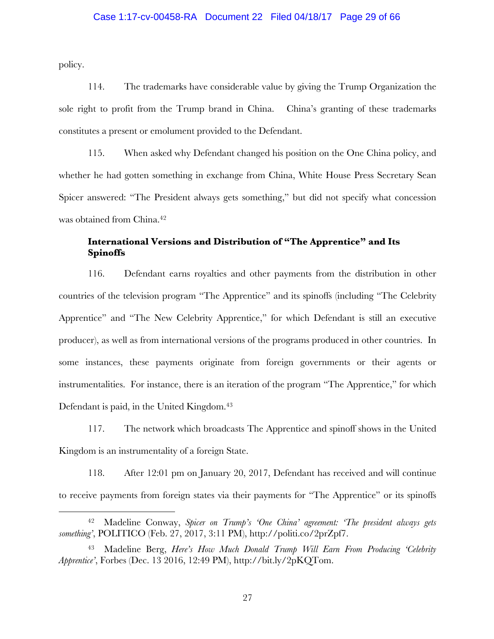### Case 1:17-cv-00458-RA Document 22 Filed 04/18/17 Page 29 of 66

policy.

<u>.</u>

114. The trademarks have considerable value by giving the Trump Organization the sole right to profit from the Trump brand in China. China's granting of these trademarks constitutes a present or emolument provided to the Defendant.

115. When asked why Defendant changed his position on the One China policy, and whether he had gotten something in exchange from China, White House Press Secretary Sean Spicer answered: "The President always gets something," but did not specify what concession was obtained from China.42

## **International Versions and Distribution of "The Apprentice" and Its Spinoffs**

116. Defendant earns royalties and other payments from the distribution in other countries of the television program "The Apprentice" and its spinoffs (including "The Celebrity Apprentice" and "The New Celebrity Apprentice," for which Defendant is still an executive producer), as well as from international versions of the programs produced in other countries. In some instances, these payments originate from foreign governments or their agents or instrumentalities. For instance, there is an iteration of the program "The Apprentice," for which Defendant is paid, in the United Kingdom. 43

117. The network which broadcasts The Apprentice and spinoff shows in the United Kingdom is an instrumentality of a foreign State.

118. After 12:01 pm on January 20, 2017, Defendant has received and will continue to receive payments from foreign states via their payments for "The Apprentice" or its spinoffs

<sup>42</sup> Madeline Conway, *Spicer on Trump's 'One China' agreement: 'The president always gets something'*, POLITICO (Feb. 27, 2017, 3:11 PM), http://politi.co/2prZpf7.

<sup>43</sup> Madeline Berg, *Here's How Much Donald Trump Will Earn From Producing 'Celebrity Apprentice'*, Forbes (Dec. 13 2016, 12:49 PM), http://bit.ly/2pKQTom.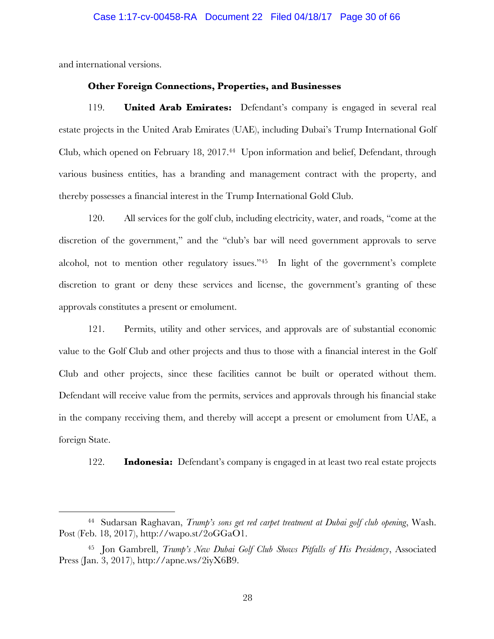and international versions.

<u>.</u>

### **Other Foreign Connections, Properties, and Businesses**

119. **United Arab Emirates:** Defendant's company is engaged in several real estate projects in the United Arab Emirates (UAE), including Dubai's Trump International Golf Club, which opened on February 18, 2017.<sup>44</sup> Upon information and belief, Defendant, through various business entities, has a branding and management contract with the property, and thereby possesses a financial interest in the Trump International Gold Club.

120. All services for the golf club, including electricity, water, and roads, "come at the discretion of the government," and the "club's bar will need government approvals to serve alcohol, not to mention other regulatory issues."45 In light of the government's complete discretion to grant or deny these services and license, the government's granting of these approvals constitutes a present or emolument.

121. Permits, utility and other services, and approvals are of substantial economic value to the Golf Club and other projects and thus to those with a financial interest in the Golf Club and other projects, since these facilities cannot be built or operated without them. Defendant will receive value from the permits, services and approvals through his financial stake in the company receiving them, and thereby will accept a present or emolument from UAE, a foreign State.

122. **Indonesia:** Defendant's company is engaged in at least two real estate projects

<sup>44</sup> Sudarsan Raghavan, *Trump's sons get red carpet treatment at Dubai golf club opening*, Wash. Post (Feb. 18, 2017), http://wapo.st/2oGGaO1.

<sup>45</sup> Jon Gambrell, *Trump's New Dubai Golf Club Shows Pitfalls of His Presidency*, Associated Press (Jan. 3, 2017), http://apne.ws/2iyX6B9.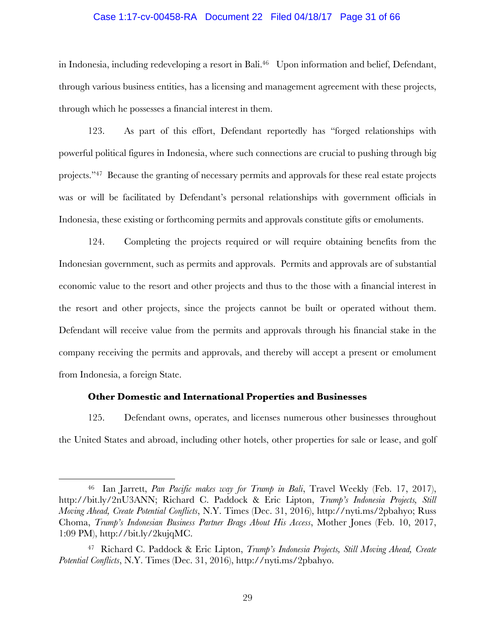### Case 1:17-cv-00458-RA Document 22 Filed 04/18/17 Page 31 of 66

in Indonesia, including redeveloping a resort in Bali. 46 Upon information and belief, Defendant, through various business entities, has a licensing and management agreement with these projects, through which he possesses a financial interest in them.

123. As part of this effort, Defendant reportedly has "forged relationships with powerful political figures in Indonesia, where such connections are crucial to pushing through big projects."47 Because the granting of necessary permits and approvals for these real estate projects was or will be facilitated by Defendant's personal relationships with government officials in Indonesia, these existing or forthcoming permits and approvals constitute gifts or emoluments.

124. Completing the projects required or will require obtaining benefits from the Indonesian government, such as permits and approvals. Permits and approvals are of substantial economic value to the resort and other projects and thus to the those with a financial interest in the resort and other projects, since the projects cannot be built or operated without them. Defendant will receive value from the permits and approvals through his financial stake in the company receiving the permits and approvals, and thereby will accept a present or emolument from Indonesia, a foreign State.

### **Other Domestic and International Properties and Businesses**

1

125. Defendant owns, operates, and licenses numerous other businesses throughout the United States and abroad, including other hotels, other properties for sale or lease, and golf

<sup>46</sup> Ian Jarrett, *Pan Pacific makes way for Trump in Bali*, Travel Weekly (Feb. 17, 2017), http://bit.ly/2nU3ANN; Richard C. Paddock & Eric Lipton, *Trump's Indonesia Projects, Still Moving Ahead, Create Potential Conflicts*, N.Y. Times (Dec. 31, 2016), http://nyti.ms/2pbahyo; Russ Choma, *Trump's Indonesian Business Partner Brags About His Access*, Mother Jones (Feb. 10, 2017, 1:09 PM), http://bit.ly/2kujqMC.

<sup>47</sup> Richard C. Paddock & Eric Lipton, *Trump's Indonesia Projects, Still Moving Ahead, Create Potential Conflicts*, N.Y. Times (Dec. 31, 2016), http://nyti.ms/2pbahyo.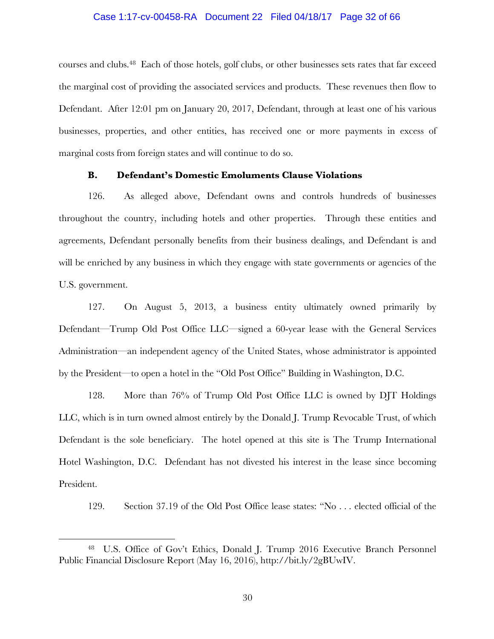### Case 1:17-cv-00458-RA Document 22 Filed 04/18/17 Page 32 of 66

courses and clubs.48 Each of those hotels, golf clubs, or other businesses sets rates that far exceed the marginal cost of providing the associated services and products. These revenues then flow to Defendant. After 12:01 pm on January 20, 2017, Defendant, through at least one of his various businesses, properties, and other entities, has received one or more payments in excess of marginal costs from foreign states and will continue to do so.

### **B. Defendant's Domestic Emoluments Clause Violations**

126. As alleged above, Defendant owns and controls hundreds of businesses throughout the country, including hotels and other properties. Through these entities and agreements, Defendant personally benefits from their business dealings, and Defendant is and will be enriched by any business in which they engage with state governments or agencies of the U.S. government.

127. On August 5, 2013, a business entity ultimately owned primarily by Defendant—Trump Old Post Office LLC—signed a 60-year lease with the General Services Administration—an independent agency of the United States, whose administrator is appointed by the President—to open a hotel in the "Old Post Office" Building in Washington, D.C.

128. More than 76% of Trump Old Post Office LLC is owned by DJT Holdings LLC, which is in turn owned almost entirely by the Donald J. Trump Revocable Trust, of which Defendant is the sole beneficiary. The hotel opened at this site is The Trump International Hotel Washington, D.C. Defendant has not divested his interest in the lease since becoming President.

129. Section 37.19 of the Old Post Office lease states: "No . . . elected official of the

<sup>48</sup> U.S. Office of Gov't Ethics, Donald J. Trump 2016 Executive Branch Personnel Public Financial Disclosure Report (May 16, 2016), http://bit.ly/2gBUwIV.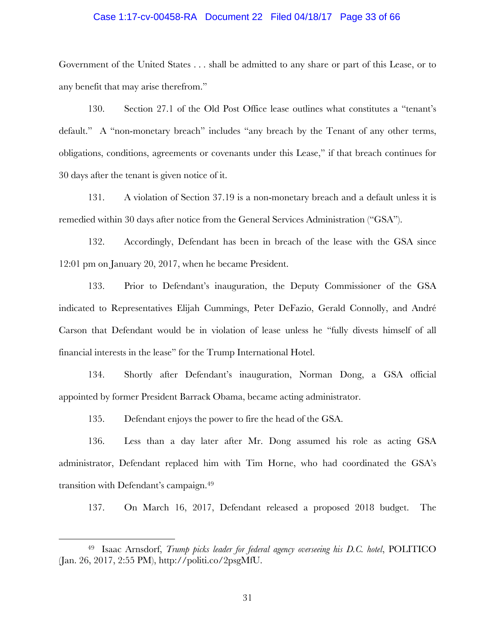### Case 1:17-cv-00458-RA Document 22 Filed 04/18/17 Page 33 of 66

Government of the United States . . . shall be admitted to any share or part of this Lease, or to any benefit that may arise therefrom."

130. Section 27.1 of the Old Post Office lease outlines what constitutes a "tenant's default." A "non-monetary breach" includes "any breach by the Tenant of any other terms, obligations, conditions, agreements or covenants under this Lease," if that breach continues for 30 days after the tenant is given notice of it.

131. A violation of Section 37.19 is a non-monetary breach and a default unless it is remedied within 30 days after notice from the General Services Administration ("GSA").

132. Accordingly, Defendant has been in breach of the lease with the GSA since 12:01 pm on January 20, 2017, when he became President.

133. Prior to Defendant's inauguration, the Deputy Commissioner of the GSA indicated to Representatives Elijah Cummings, Peter DeFazio, Gerald Connolly, and André Carson that Defendant would be in violation of lease unless he "fully divests himself of all financial interests in the lease" for the Trump International Hotel.

134. Shortly after Defendant's inauguration, Norman Dong, a GSA official appointed by former President Barrack Obama, became acting administrator.

135. Defendant enjoys the power to fire the head of the GSA.

1

136. Less than a day later after Mr. Dong assumed his role as acting GSA administrator, Defendant replaced him with Tim Horne, who had coordinated the GSA's transition with Defendant's campaign.49

137. On March 16, 2017, Defendant released a proposed 2018 budget. The

<sup>49</sup> Isaac Arnsdorf, *Trump picks leader for federal agency overseeing his D.C. hotel*, POLITICO (Jan. 26, 2017, 2:55 PM), http://politi.co/2psgMfU.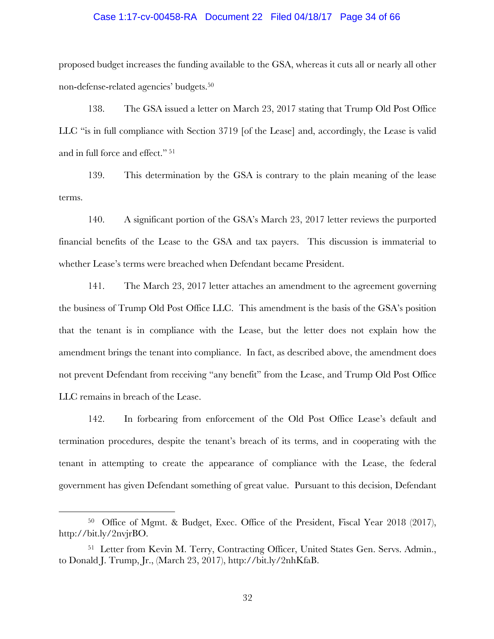### Case 1:17-cv-00458-RA Document 22 Filed 04/18/17 Page 34 of 66

proposed budget increases the funding available to the GSA, whereas it cuts all or nearly all other non-defense-related agencies' budgets.50

138. The GSA issued a letter on March 23, 2017 stating that Trump Old Post Office LLC "is in full compliance with Section 3719 [of the Lease] and, accordingly, the Lease is valid and in full force and effect." <sup>51</sup>

139. This determination by the GSA is contrary to the plain meaning of the lease terms.

140. A significant portion of the GSA's March 23, 2017 letter reviews the purported financial benefits of the Lease to the GSA and tax payers. This discussion is immaterial to whether Lease's terms were breached when Defendant became President.

141. The March 23, 2017 letter attaches an amendment to the agreement governing the business of Trump Old Post Office LLC. This amendment is the basis of the GSA's position that the tenant is in compliance with the Lease, but the letter does not explain how the amendment brings the tenant into compliance. In fact, as described above, the amendment does not prevent Defendant from receiving "any benefit" from the Lease, and Trump Old Post Office LLC remains in breach of the Lease.

142. In forbearing from enforcement of the Old Post Office Lease's default and termination procedures, despite the tenant's breach of its terms, and in cooperating with the tenant in attempting to create the appearance of compliance with the Lease, the federal government has given Defendant something of great value. Pursuant to this decision, Defendant

<u>.</u>

<sup>50</sup> Office of Mgmt. & Budget, Exec. Office of the President, Fiscal Year 2018 (2017), http://bit.ly/2nvjrBO.

<sup>&</sup>lt;sup>51</sup> Letter from Kevin M. Terry, Contracting Officer, United States Gen. Servs. Admin., to Donald J. Trump, Jr., (March 23, 2017), http://bit.ly/2nhKfaB.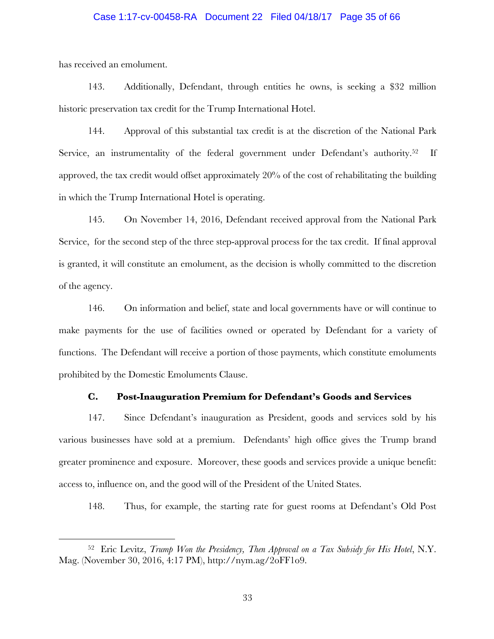### Case 1:17-cv-00458-RA Document 22 Filed 04/18/17 Page 35 of 66

has received an emolument.

1

143. Additionally, Defendant, through entities he owns, is seeking a \$32 million historic preservation tax credit for the Trump International Hotel.

144. Approval of this substantial tax credit is at the discretion of the National Park Service, an instrumentality of the federal government under Defendant's authority.<sup>52</sup> If approved, the tax credit would offset approximately 20% of the cost of rehabilitating the building in which the Trump International Hotel is operating.

145. On November 14, 2016, Defendant received approval from the National Park Service, for the second step of the three step-approval process for the tax credit. If final approval is granted, it will constitute an emolument, as the decision is wholly committed to the discretion of the agency.

146. On information and belief, state and local governments have or will continue to make payments for the use of facilities owned or operated by Defendant for a variety of functions. The Defendant will receive a portion of those payments, which constitute emoluments prohibited by the Domestic Emoluments Clause.

### **C. Post-Inauguration Premium for Defendant's Goods and Services**

147. Since Defendant's inauguration as President, goods and services sold by his various businesses have sold at a premium. Defendants' high office gives the Trump brand greater prominence and exposure. Moreover, these goods and services provide a unique benefit: access to, influence on, and the good will of the President of the United States.

148. Thus, for example, the starting rate for guest rooms at Defendant's Old Post

<sup>52</sup> Eric Levitz, *Trump Won the Presidency, Then Approval on a Tax Subsidy for His Hotel*, N.Y. Mag. (November 30, 2016, 4:17 PM), http://nym.ag/2oFF1o9.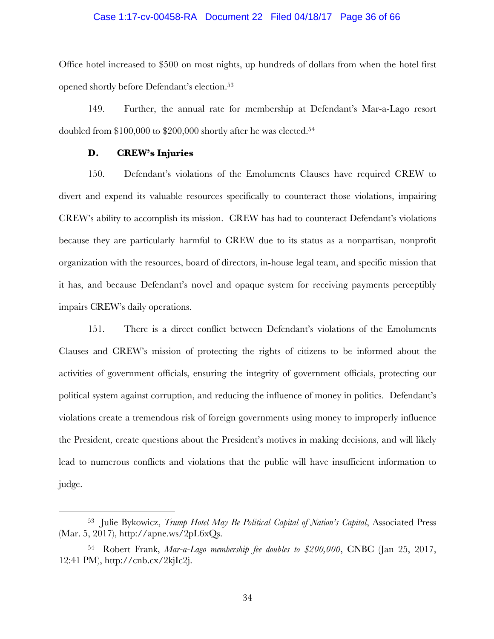### Case 1:17-cv-00458-RA Document 22 Filed 04/18/17 Page 36 of 66

Office hotel increased to \$500 on most nights, up hundreds of dollars from when the hotel first opened shortly before Defendant's election.53

149. Further, the annual rate for membership at Defendant's Mar-a-Lago resort doubled from \$100,000 to \$200,000 shortly after he was elected. 54

### **D. CREW's Injuries**

<u>.</u>

150. Defendant's violations of the Emoluments Clauses have required CREW to divert and expend its valuable resources specifically to counteract those violations, impairing CREW's ability to accomplish its mission. CREW has had to counteract Defendant's violations because they are particularly harmful to CREW due to its status as a nonpartisan, nonprofit organization with the resources, board of directors, in-house legal team, and specific mission that it has, and because Defendant's novel and opaque system for receiving payments perceptibly impairs CREW's daily operations.

151. There is a direct conflict between Defendant's violations of the Emoluments Clauses and CREW's mission of protecting the rights of citizens to be informed about the activities of government officials, ensuring the integrity of government officials, protecting our political system against corruption, and reducing the influence of money in politics. Defendant's violations create a tremendous risk of foreign governments using money to improperly influence the President, create questions about the President's motives in making decisions, and will likely lead to numerous conflicts and violations that the public will have insufficient information to judge.

<sup>53</sup> Julie Bykowicz, *Trump Hotel May Be Political Capital of Nation's Capital*, Associated Press (Mar. 5, 2017), http://apne.ws/2pL6xQs.

<sup>54</sup> Robert Frank, *Mar-a-Lago membership fee doubles to \$200,000*, CNBC (Jan 25, 2017, 12:41 PM), http://cnb.cx/2kjIc2j.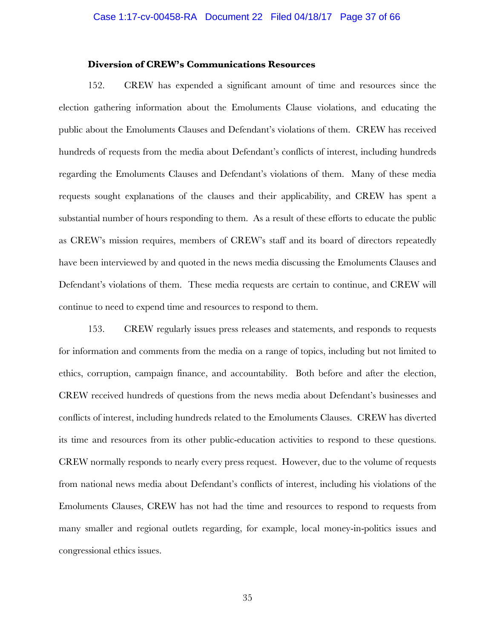### **Diversion of CREW's Communications Resources**

152. CREW has expended a significant amount of time and resources since the election gathering information about the Emoluments Clause violations, and educating the public about the Emoluments Clauses and Defendant's violations of them. CREW has received hundreds of requests from the media about Defendant's conflicts of interest, including hundreds regarding the Emoluments Clauses and Defendant's violations of them. Many of these media requests sought explanations of the clauses and their applicability, and CREW has spent a substantial number of hours responding to them. As a result of these efforts to educate the public as CREW's mission requires, members of CREW's staff and its board of directors repeatedly have been interviewed by and quoted in the news media discussing the Emoluments Clauses and Defendant's violations of them. These media requests are certain to continue, and CREW will continue to need to expend time and resources to respond to them.

153. CREW regularly issues press releases and statements, and responds to requests for information and comments from the media on a range of topics, including but not limited to ethics, corruption, campaign finance, and accountability. Both before and after the election, CREW received hundreds of questions from the news media about Defendant's businesses and conflicts of interest, including hundreds related to the Emoluments Clauses. CREW has diverted its time and resources from its other public-education activities to respond to these questions. CREW normally responds to nearly every press request. However, due to the volume of requests from national news media about Defendant's conflicts of interest, including his violations of the Emoluments Clauses, CREW has not had the time and resources to respond to requests from many smaller and regional outlets regarding, for example, local money-in-politics issues and congressional ethics issues.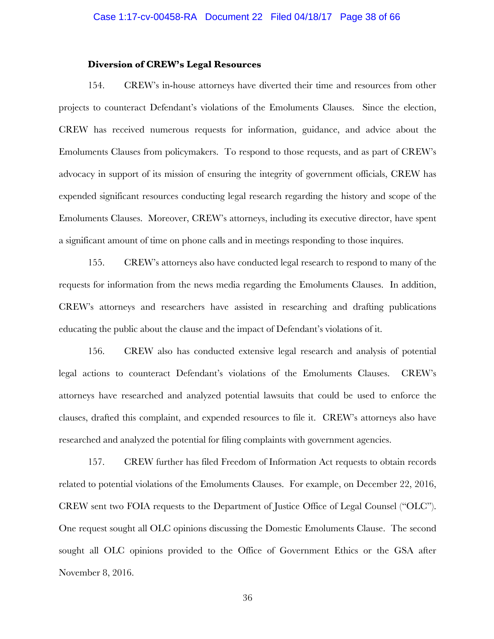### **Diversion of CREW's Legal Resources**

154. CREW's in-house attorneys have diverted their time and resources from other projects to counteract Defendant's violations of the Emoluments Clauses. Since the election, CREW has received numerous requests for information, guidance, and advice about the Emoluments Clauses from policymakers. To respond to those requests, and as part of CREW's advocacy in support of its mission of ensuring the integrity of government officials, CREW has expended significant resources conducting legal research regarding the history and scope of the Emoluments Clauses. Moreover, CREW's attorneys, including its executive director, have spent a significant amount of time on phone calls and in meetings responding to those inquires.

155. CREW's attorneys also have conducted legal research to respond to many of the requests for information from the news media regarding the Emoluments Clauses. In addition, CREW's attorneys and researchers have assisted in researching and drafting publications educating the public about the clause and the impact of Defendant's violations of it.

156. CREW also has conducted extensive legal research and analysis of potential legal actions to counteract Defendant's violations of the Emoluments Clauses. CREW's attorneys have researched and analyzed potential lawsuits that could be used to enforce the clauses, drafted this complaint, and expended resources to file it. CREW's attorneys also have researched and analyzed the potential for filing complaints with government agencies.

157. CREW further has filed Freedom of Information Act requests to obtain records related to potential violations of the Emoluments Clauses. For example, on December 22, 2016, CREW sent two FOIA requests to the Department of Justice Office of Legal Counsel ("OLC"). One request sought all OLC opinions discussing the Domestic Emoluments Clause. The second sought all OLC opinions provided to the Office of Government Ethics or the GSA after November 8, 2016.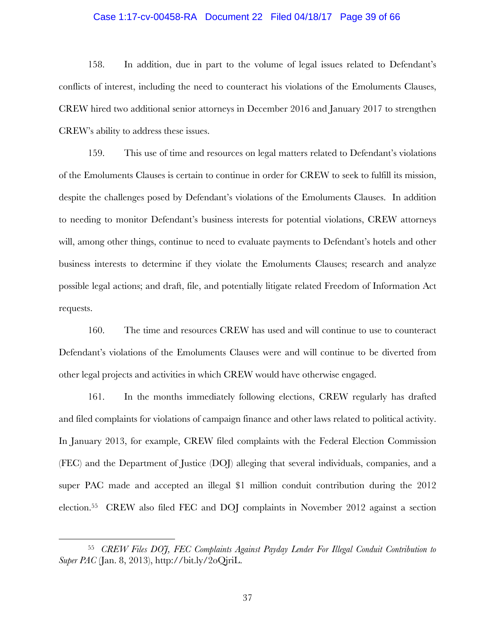### Case 1:17-cv-00458-RA Document 22 Filed 04/18/17 Page 39 of 66

158. In addition, due in part to the volume of legal issues related to Defendant's conflicts of interest, including the need to counteract his violations of the Emoluments Clauses, CREW hired two additional senior attorneys in December 2016 and January 2017 to strengthen CREW's ability to address these issues.

159. This use of time and resources on legal matters related to Defendant's violations of the Emoluments Clauses is certain to continue in order for CREW to seek to fulfill its mission, despite the challenges posed by Defendant's violations of the Emoluments Clauses. In addition to needing to monitor Defendant's business interests for potential violations, CREW attorneys will, among other things, continue to need to evaluate payments to Defendant's hotels and other business interests to determine if they violate the Emoluments Clauses; research and analyze possible legal actions; and draft, file, and potentially litigate related Freedom of Information Act requests.

160. The time and resources CREW has used and will continue to use to counteract Defendant's violations of the Emoluments Clauses were and will continue to be diverted from other legal projects and activities in which CREW would have otherwise engaged.

161. In the months immediately following elections, CREW regularly has drafted and filed complaints for violations of campaign finance and other laws related to political activity. In January 2013, for example, CREW filed complaints with the Federal Election Commission (FEC) and the Department of Justice (DOJ) alleging that several individuals, companies, and a super PAC made and accepted an illegal \$1 million conduit contribution during the 2012 election.55 CREW also filed FEC and DOJ complaints in November 2012 against a section

<sup>55</sup> *CREW Files DOJ, FEC Complaints Against Payday Lender For Illegal Conduit Contribution to Super PAC* (Jan. 8, 2013), http://bit.ly/2oQjriL.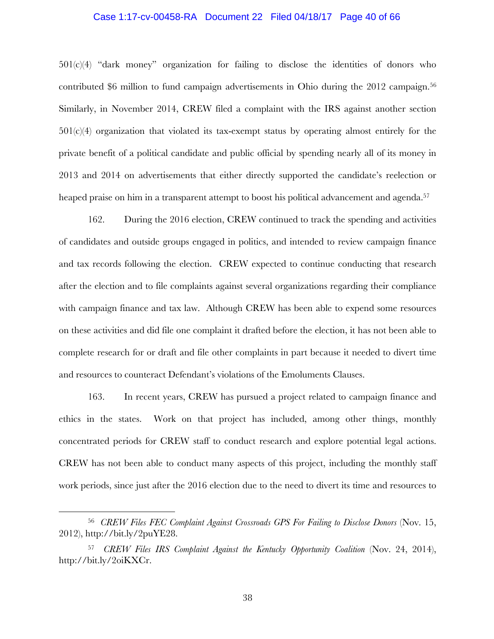### Case 1:17-cv-00458-RA Document 22 Filed 04/18/17 Page 40 of 66

 $501(c)(4)$  "dark money" organization for failing to disclose the identities of donors who contributed \$6 million to fund campaign advertisements in Ohio during the 2012 campaign.<sup>56</sup> Similarly, in November 2014, CREW filed a complaint with the IRS against another section  $501(c)(4)$  organization that violated its tax-exempt status by operating almost entirely for the private benefit of a political candidate and public official by spending nearly all of its money in 2013 and 2014 on advertisements that either directly supported the candidate's reelection or heaped praise on him in a transparent attempt to boost his political advancement and agenda.<sup>57</sup>

162. During the 2016 election, CREW continued to track the spending and activities of candidates and outside groups engaged in politics, and intended to review campaign finance and tax records following the election. CREW expected to continue conducting that research after the election and to file complaints against several organizations regarding their compliance with campaign finance and tax law. Although CREW has been able to expend some resources on these activities and did file one complaint it drafted before the election, it has not been able to complete research for or draft and file other complaints in part because it needed to divert time and resources to counteract Defendant's violations of the Emoluments Clauses.

163. In recent years, CREW has pursued a project related to campaign finance and ethics in the states. Work on that project has included, among other things, monthly concentrated periods for CREW staff to conduct research and explore potential legal actions. CREW has not been able to conduct many aspects of this project, including the monthly staff work periods, since just after the 2016 election due to the need to divert its time and resources to

<u>.</u>

<sup>56</sup> *CREW Files FEC Complaint Against Crossroads GPS For Failing to Disclose Donors* (Nov. 15, 2012), http://bit.ly/2puYE28.

<sup>57</sup> *CREW Files IRS Complaint Against the Kentucky Opportunity Coalition* (Nov. 24, 2014), http://bit.ly/2oiKXCr.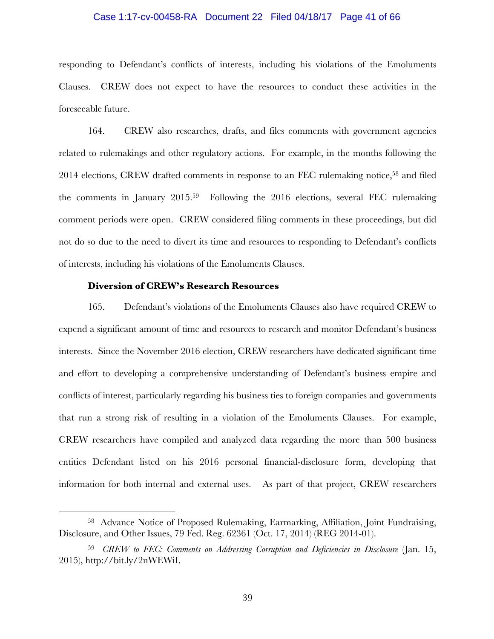### Case 1:17-cv-00458-RA Document 22 Filed 04/18/17 Page 41 of 66

responding to Defendant's conflicts of interests, including his violations of the Emoluments Clauses. CREW does not expect to have the resources to conduct these activities in the foreseeable future.

164. CREW also researches, drafts, and files comments with government agencies related to rulemakings and other regulatory actions. For example, in the months following the 2014 elections, CREW drafted comments in response to an FEC rulemaking notice,58 and filed the comments in January 2015.59 Following the 2016 elections, several FEC rulemaking comment periods were open. CREW considered filing comments in these proceedings, but did not do so due to the need to divert its time and resources to responding to Defendant's conflicts of interests, including his violations of the Emoluments Clauses.

### **Diversion of CREW's Research Resources**

<u>.</u>

165. Defendant's violations of the Emoluments Clauses also have required CREW to expend a significant amount of time and resources to research and monitor Defendant's business interests. Since the November 2016 election, CREW researchers have dedicated significant time and effort to developing a comprehensive understanding of Defendant's business empire and conflicts of interest, particularly regarding his business ties to foreign companies and governments that run a strong risk of resulting in a violation of the Emoluments Clauses. For example, CREW researchers have compiled and analyzed data regarding the more than 500 business entities Defendant listed on his 2016 personal financial-disclosure form, developing that information for both internal and external uses. As part of that project, CREW researchers

<sup>58</sup> Advance Notice of Proposed Rulemaking, Earmarking, Affiliation, Joint Fundraising, Disclosure, and Other Issues, 79 Fed. Reg. 62361 (Oct. 17, 2014) (REG 2014-01).

<sup>59</sup> *CREW to FEC: Comments on Addressing Corruption and Deficiencies in Disclosure* (Jan. 15, 2015), http://bit.ly/2nWEWiI.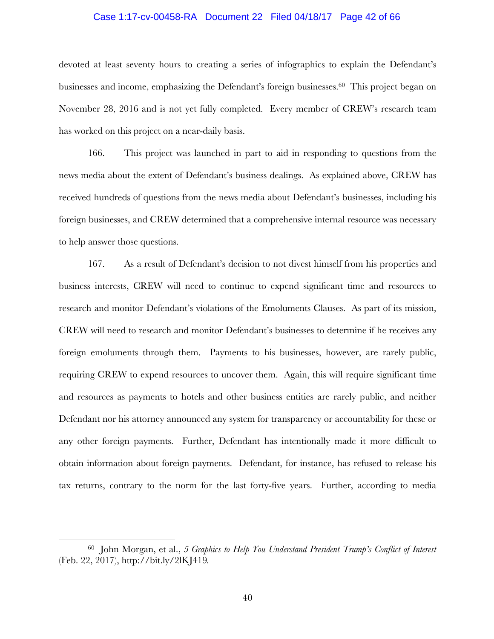### Case 1:17-cv-00458-RA Document 22 Filed 04/18/17 Page 42 of 66

devoted at least seventy hours to creating a series of infographics to explain the Defendant's businesses and income, emphasizing the Defendant's foreign businesses.<sup>60</sup> This project began on November 28, 2016 and is not yet fully completed. Every member of CREW's research team has worked on this project on a near-daily basis.

166. This project was launched in part to aid in responding to questions from the news media about the extent of Defendant's business dealings. As explained above, CREW has received hundreds of questions from the news media about Defendant's businesses, including his foreign businesses, and CREW determined that a comprehensive internal resource was necessary to help answer those questions.

167. As a result of Defendant's decision to not divest himself from his properties and business interests, CREW will need to continue to expend significant time and resources to research and monitor Defendant's violations of the Emoluments Clauses. As part of its mission, CREW will need to research and monitor Defendant's businesses to determine if he receives any foreign emoluments through them. Payments to his businesses, however, are rarely public, requiring CREW to expend resources to uncover them. Again, this will require significant time and resources as payments to hotels and other business entities are rarely public, and neither Defendant nor his attorney announced any system for transparency or accountability for these or any other foreign payments. Further, Defendant has intentionally made it more difficult to obtain information about foreign payments. Defendant, for instance, has refused to release his tax returns, contrary to the norm for the last forty-five years. Further, according to media

<sup>60</sup> John Morgan, et al., *5 Graphics to Help You Understand President Trump's Conflict of Interest* (Feb. 22, 2017), http://bit.ly/2lKJ419*.*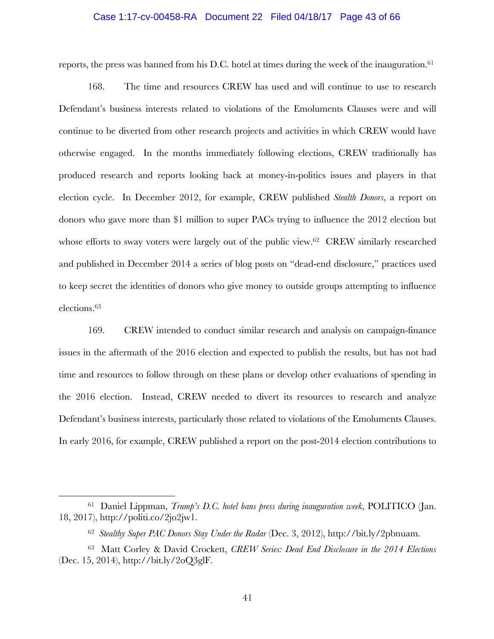### Case 1:17-cv-00458-RA Document 22 Filed 04/18/17 Page 43 of 66

reports, the press was banned from his D.C. hotel at times during the week of the inauguration.61

168. The time and resources CREW has used and will continue to use to research Defendant's business interests related to violations of the Emoluments Clauses were and will continue to be diverted from other research projects and activities in which CREW would have otherwise engaged. In the months immediately following elections, CREW traditionally has produced research and reports looking back at money-in-politics issues and players in that election cycle. In December 2012, for example, CREW published *Stealth Donors*, a report on donors who gave more than \$1 million to super PACs trying to influence the 2012 election but whose efforts to sway voters were largely out of the public view.<sup>62</sup> CREW similarly researched and published in December 2014 a series of blog posts on "dead-end disclosure," practices used to keep secret the identities of donors who give money to outside groups attempting to influence elections.63

169. CREW intended to conduct similar research and analysis on campaign-finance issues in the aftermath of the 2016 election and expected to publish the results, but has not had time and resources to follow through on these plans or develop other evaluations of spending in the 2016 election. Instead, CREW needed to divert its resources to research and analyze Defendant's business interests, particularly those related to violations of the Emoluments Clauses. In early 2016, for example, CREW published a report on the post-2014 election contributions to

<sup>61</sup> Daniel Lippman, *Trump's D.C. hotel bans press during inauguration week*, POLITICO (Jan. 18, 2017), http://politi.co/2jo2jw1.

<sup>62</sup> *Stealthy Super PAC Donors Stay Under the Radar* (Dec. 3, 2012), http://bit.ly/2pbnuam.

<sup>63</sup> Matt Corley & David Crockett, *CREW Series: Dead End Disclosure in the 2014 Elections* (Dec. 15, 2014), http://bit.ly/2oQ3glF.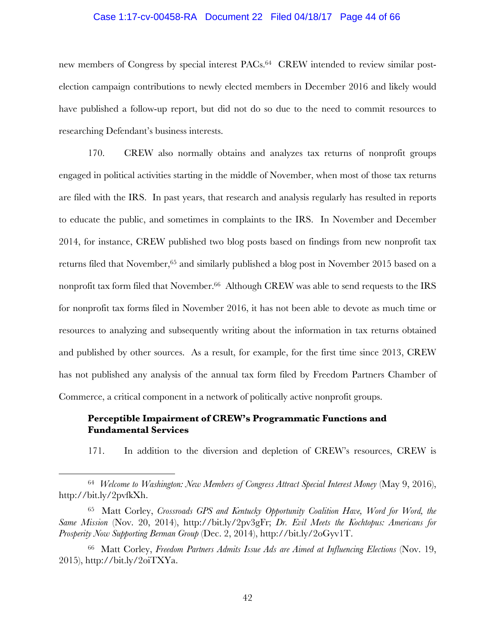### Case 1:17-cv-00458-RA Document 22 Filed 04/18/17 Page 44 of 66

new members of Congress by special interest PACs.64 CREW intended to review similar postelection campaign contributions to newly elected members in December 2016 and likely would have published a follow-up report, but did not do so due to the need to commit resources to researching Defendant's business interests.

170. CREW also normally obtains and analyzes tax returns of nonprofit groups engaged in political activities starting in the middle of November, when most of those tax returns are filed with the IRS. In past years, that research and analysis regularly has resulted in reports to educate the public, and sometimes in complaints to the IRS. In November and December 2014, for instance, CREW published two blog posts based on findings from new nonprofit tax returns filed that November,<sup>65</sup> and similarly published a blog post in November 2015 based on a nonprofit tax form filed that November.<sup>66</sup> Although CREW was able to send requests to the IRS for nonprofit tax forms filed in November 2016, it has not been able to devote as much time or resources to analyzing and subsequently writing about the information in tax returns obtained and published by other sources. As a result, for example, for the first time since 2013, CREW has not published any analysis of the annual tax form filed by Freedom Partners Chamber of Commerce, a critical component in a network of politically active nonprofit groups.

### **Perceptible Impairment of CREW's Programmatic Functions and Fundamental Services**

1

171. In addition to the diversion and depletion of CREW's resources, CREW is

<sup>64</sup> *Welcome to Washington: New Members of Congress Attract Special Interest Money* (May 9, 2016), http://bit.ly/2pvfkXh.

<sup>65</sup> Matt Corley, *Crossroads GPS and Kentucky Opportunity Coalition Have, Word for Word, the Same Mission* (Nov. 20, 2014), http://bit.ly/2pv3gFr; *Dr. Evil Meets the Kochtopus: Americans for Prosperity Now Supporting Berman Group* (Dec. 2, 2014), http://bit.ly/2oGyv1T.

<sup>66</sup> Matt Corley, *Freedom Partners Admits Issue Ads are Aimed at Influencing Elections* (Nov. 19, 2015), http://bit.ly/2oiTXYa.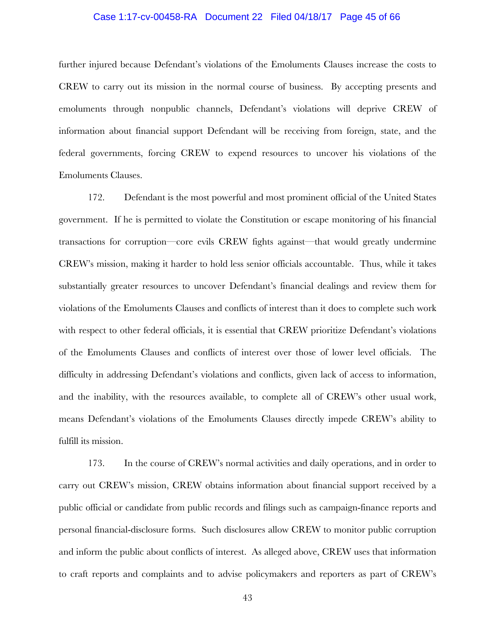#### Case 1:17-cv-00458-RA Document 22 Filed 04/18/17 Page 45 of 66

further injured because Defendant's violations of the Emoluments Clauses increase the costs to CREW to carry out its mission in the normal course of business. By accepting presents and emoluments through nonpublic channels, Defendant's violations will deprive CREW of information about financial support Defendant will be receiving from foreign, state, and the federal governments, forcing CREW to expend resources to uncover his violations of the Emoluments Clauses.

172. Defendant is the most powerful and most prominent official of the United States government. If he is permitted to violate the Constitution or escape monitoring of his financial transactions for corruption—core evils CREW fights against—that would greatly undermine CREW's mission, making it harder to hold less senior officials accountable. Thus, while it takes substantially greater resources to uncover Defendant's financial dealings and review them for violations of the Emoluments Clauses and conflicts of interest than it does to complete such work with respect to other federal officials, it is essential that CREW prioritize Defendant's violations of the Emoluments Clauses and conflicts of interest over those of lower level officials. The difficulty in addressing Defendant's violations and conflicts, given lack of access to information, and the inability, with the resources available, to complete all of CREW's other usual work, means Defendant's violations of the Emoluments Clauses directly impede CREW's ability to fulfill its mission.

173. In the course of CREW's normal activities and daily operations, and in order to carry out CREW's mission, CREW obtains information about financial support received by a public official or candidate from public records and filings such as campaign-finance reports and personal financial-disclosure forms. Such disclosures allow CREW to monitor public corruption and inform the public about conflicts of interest. As alleged above, CREW uses that information to craft reports and complaints and to advise policymakers and reporters as part of CREW's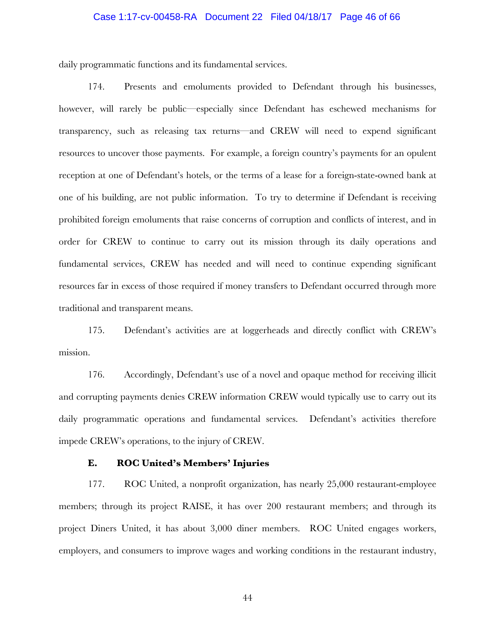### Case 1:17-cv-00458-RA Document 22 Filed 04/18/17 Page 46 of 66

daily programmatic functions and its fundamental services.

174. Presents and emoluments provided to Defendant through his businesses, however, will rarely be public—especially since Defendant has eschewed mechanisms for transparency, such as releasing tax returns—and CREW will need to expend significant resources to uncover those payments. For example, a foreign country's payments for an opulent reception at one of Defendant's hotels, or the terms of a lease for a foreign-state-owned bank at one of his building, are not public information. To try to determine if Defendant is receiving prohibited foreign emoluments that raise concerns of corruption and conflicts of interest, and in order for CREW to continue to carry out its mission through its daily operations and fundamental services, CREW has needed and will need to continue expending significant resources far in excess of those required if money transfers to Defendant occurred through more traditional and transparent means.

175. Defendant's activities are at loggerheads and directly conflict with CREW's mission.

176. Accordingly, Defendant's use of a novel and opaque method for receiving illicit and corrupting payments denies CREW information CREW would typically use to carry out its daily programmatic operations and fundamental services. Defendant's activities therefore impede CREW's operations, to the injury of CREW.

### **E. ROC United's Members' Injuries**

177. ROC United, a nonprofit organization, has nearly 25,000 restaurant-employee members; through its project RAISE, it has over 200 restaurant members; and through its project Diners United, it has about 3,000 diner members. ROC United engages workers, employers, and consumers to improve wages and working conditions in the restaurant industry,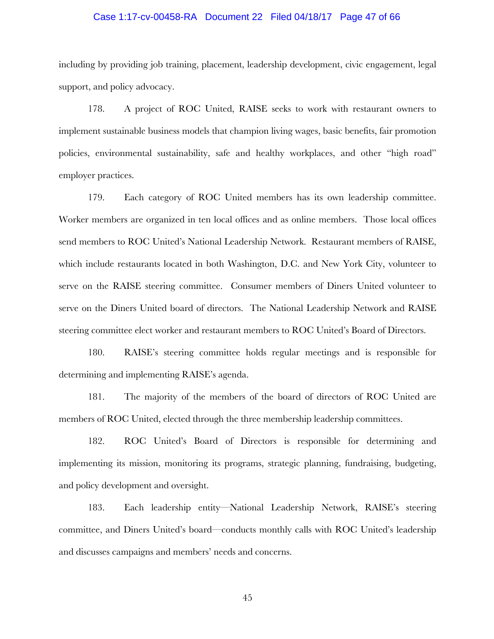### Case 1:17-cv-00458-RA Document 22 Filed 04/18/17 Page 47 of 66

including by providing job training, placement, leadership development, civic engagement, legal support, and policy advocacy.

178. A project of ROC United, RAISE seeks to work with restaurant owners to implement sustainable business models that champion living wages, basic benefits, fair promotion policies, environmental sustainability, safe and healthy workplaces, and other "high road" employer practices.

179. Each category of ROC United members has its own leadership committee. Worker members are organized in ten local offices and as online members. Those local offices send members to ROC United's National Leadership Network. Restaurant members of RAISE, which include restaurants located in both Washington, D.C. and New York City, volunteer to serve on the RAISE steering committee. Consumer members of Diners United volunteer to serve on the Diners United board of directors. The National Leadership Network and RAISE steering committee elect worker and restaurant members to ROC United's Board of Directors.

180. RAISE's steering committee holds regular meetings and is responsible for determining and implementing RAISE's agenda.

181. The majority of the members of the board of directors of ROC United are members of ROC United, elected through the three membership leadership committees.

182. ROC United's Board of Directors is responsible for determining and implementing its mission, monitoring its programs, strategic planning, fundraising, budgeting, and policy development and oversight.

183. Each leadership entity—National Leadership Network, RAISE's steering committee, and Diners United's board—conducts monthly calls with ROC United's leadership and discusses campaigns and members' needs and concerns.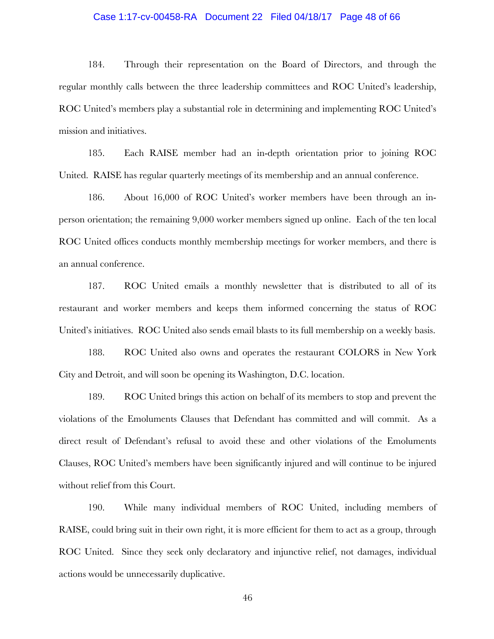### Case 1:17-cv-00458-RA Document 22 Filed 04/18/17 Page 48 of 66

184. Through their representation on the Board of Directors, and through the regular monthly calls between the three leadership committees and ROC United's leadership, ROC United's members play a substantial role in determining and implementing ROC United's mission and initiatives.

185. Each RAISE member had an in-depth orientation prior to joining ROC United. RAISE has regular quarterly meetings of its membership and an annual conference.

186. About 16,000 of ROC United's worker members have been through an inperson orientation; the remaining 9,000 worker members signed up online. Each of the ten local ROC United offices conducts monthly membership meetings for worker members, and there is an annual conference.

187. ROC United emails a monthly newsletter that is distributed to all of its restaurant and worker members and keeps them informed concerning the status of ROC United's initiatives. ROC United also sends email blasts to its full membership on a weekly basis.

188. ROC United also owns and operates the restaurant COLORS in New York City and Detroit, and will soon be opening its Washington, D.C. location.

189. ROC United brings this action on behalf of its members to stop and prevent the violations of the Emoluments Clauses that Defendant has committed and will commit. As a direct result of Defendant's refusal to avoid these and other violations of the Emoluments Clauses, ROC United's members have been significantly injured and will continue to be injured without relief from this Court.

190. While many individual members of ROC United, including members of RAISE, could bring suit in their own right, it is more efficient for them to act as a group, through ROC United. Since they seek only declaratory and injunctive relief, not damages, individual actions would be unnecessarily duplicative.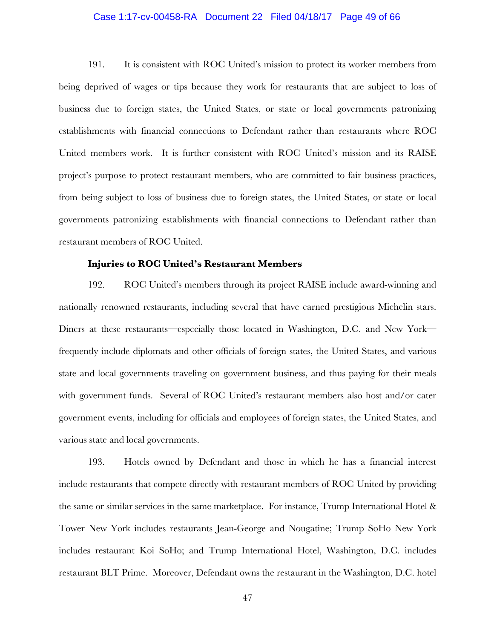### Case 1:17-cv-00458-RA Document 22 Filed 04/18/17 Page 49 of 66

191. It is consistent with ROC United's mission to protect its worker members from being deprived of wages or tips because they work for restaurants that are subject to loss of business due to foreign states, the United States, or state or local governments patronizing establishments with financial connections to Defendant rather than restaurants where ROC United members work. It is further consistent with ROC United's mission and its RAISE project's purpose to protect restaurant members, who are committed to fair business practices, from being subject to loss of business due to foreign states, the United States, or state or local governments patronizing establishments with financial connections to Defendant rather than restaurant members of ROC United.

### **Injuries to ROC United's Restaurant Members**

192. ROC United's members through its project RAISE include award-winning and nationally renowned restaurants, including several that have earned prestigious Michelin stars. Diners at these restaurants—especially those located in Washington, D.C. and New York frequently include diplomats and other officials of foreign states, the United States, and various state and local governments traveling on government business, and thus paying for their meals with government funds. Several of ROC United's restaurant members also host and/or cater government events, including for officials and employees of foreign states, the United States, and various state and local governments.

193. Hotels owned by Defendant and those in which he has a financial interest include restaurants that compete directly with restaurant members of ROC United by providing the same or similar services in the same marketplace. For instance, Trump International Hotel & Tower New York includes restaurants Jean-George and Nougatine; Trump SoHo New York includes restaurant Koi SoHo; and Trump International Hotel, Washington, D.C. includes restaurant BLT Prime. Moreover, Defendant owns the restaurant in the Washington, D.C. hotel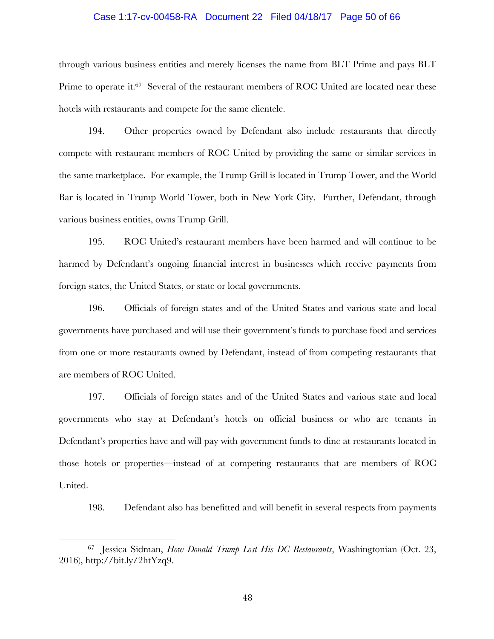### Case 1:17-cv-00458-RA Document 22 Filed 04/18/17 Page 50 of 66

through various business entities and merely licenses the name from BLT Prime and pays BLT Prime to operate it.<sup>67</sup> Several of the restaurant members of ROC United are located near these hotels with restaurants and compete for the same clientele.

194. Other properties owned by Defendant also include restaurants that directly compete with restaurant members of ROC United by providing the same or similar services in the same marketplace. For example, the Trump Grill is located in Trump Tower, and the World Bar is located in Trump World Tower, both in New York City. Further, Defendant, through various business entities, owns Trump Grill.

195. ROC United's restaurant members have been harmed and will continue to be harmed by Defendant's ongoing financial interest in businesses which receive payments from foreign states, the United States, or state or local governments.

196. Officials of foreign states and of the United States and various state and local governments have purchased and will use their government's funds to purchase food and services from one or more restaurants owned by Defendant, instead of from competing restaurants that are members of ROC United.

197. Officials of foreign states and of the United States and various state and local governments who stay at Defendant's hotels on official business or who are tenants in Defendant's properties have and will pay with government funds to dine at restaurants located in those hotels or properties—instead of at competing restaurants that are members of ROC United.

198. Defendant also has benefitted and will benefit in several respects from payments

<sup>67</sup> Jessica Sidman, *How Donald Trump Lost His DC Restaurants*, Washingtonian (Oct. 23, 2016), http://bit.ly/2htYzq9.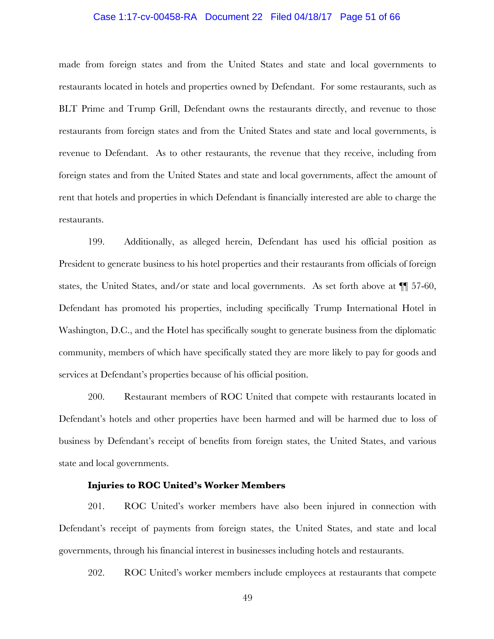#### Case 1:17-cv-00458-RA Document 22 Filed 04/18/17 Page 51 of 66

made from foreign states and from the United States and state and local governments to restaurants located in hotels and properties owned by Defendant. For some restaurants, such as BLT Prime and Trump Grill, Defendant owns the restaurants directly, and revenue to those restaurants from foreign states and from the United States and state and local governments, is revenue to Defendant. As to other restaurants, the revenue that they receive, including from foreign states and from the United States and state and local governments, affect the amount of rent that hotels and properties in which Defendant is financially interested are able to charge the restaurants.

199. Additionally, as alleged herein, Defendant has used his official position as President to generate business to his hotel properties and their restaurants from officials of foreign states, the United States, and/or state and local governments. As set forth above at ¶¶ 57-60, Defendant has promoted his properties, including specifically Trump International Hotel in Washington, D.C., and the Hotel has specifically sought to generate business from the diplomatic community, members of which have specifically stated they are more likely to pay for goods and services at Defendant's properties because of his official position.

200. Restaurant members of ROC United that compete with restaurants located in Defendant's hotels and other properties have been harmed and will be harmed due to loss of business by Defendant's receipt of benefits from foreign states, the United States, and various state and local governments.

### **Injuries to ROC United's Worker Members**

201. ROC United's worker members have also been injured in connection with Defendant's receipt of payments from foreign states, the United States, and state and local governments, through his financial interest in businesses including hotels and restaurants.

202. ROC United's worker members include employees at restaurants that compete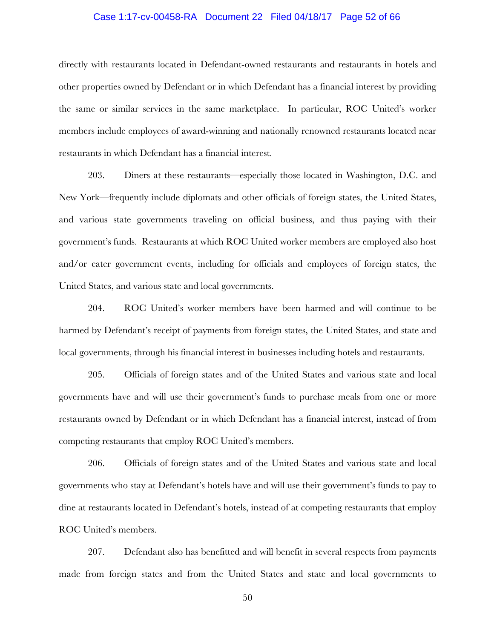#### Case 1:17-cv-00458-RA Document 22 Filed 04/18/17 Page 52 of 66

directly with restaurants located in Defendant-owned restaurants and restaurants in hotels and other properties owned by Defendant or in which Defendant has a financial interest by providing the same or similar services in the same marketplace. In particular, ROC United's worker members include employees of award-winning and nationally renowned restaurants located near restaurants in which Defendant has a financial interest.

203. Diners at these restaurants—especially those located in Washington, D.C. and New York—frequently include diplomats and other officials of foreign states, the United States, and various state governments traveling on official business, and thus paying with their government's funds. Restaurants at which ROC United worker members are employed also host and/or cater government events, including for officials and employees of foreign states, the United States, and various state and local governments.

204. ROC United's worker members have been harmed and will continue to be harmed by Defendant's receipt of payments from foreign states, the United States, and state and local governments, through his financial interest in businesses including hotels and restaurants.

205. Officials of foreign states and of the United States and various state and local governments have and will use their government's funds to purchase meals from one or more restaurants owned by Defendant or in which Defendant has a financial interest, instead of from competing restaurants that employ ROC United's members.

206. Officials of foreign states and of the United States and various state and local governments who stay at Defendant's hotels have and will use their government's funds to pay to dine at restaurants located in Defendant's hotels, instead of at competing restaurants that employ ROC United's members.

207. Defendant also has benefitted and will benefit in several respects from payments made from foreign states and from the United States and state and local governments to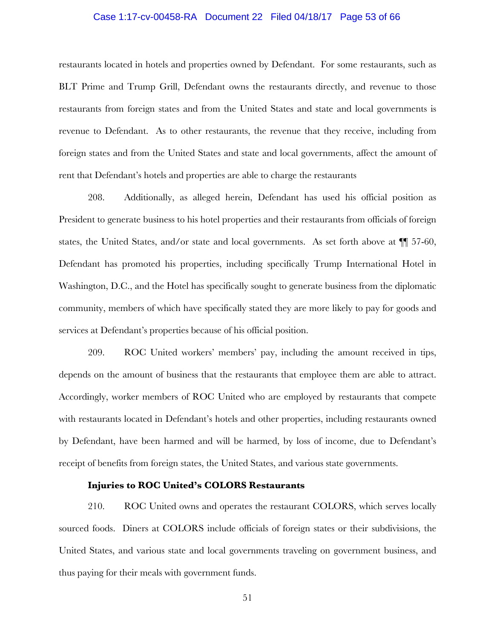#### Case 1:17-cv-00458-RA Document 22 Filed 04/18/17 Page 53 of 66

restaurants located in hotels and properties owned by Defendant. For some restaurants, such as BLT Prime and Trump Grill, Defendant owns the restaurants directly, and revenue to those restaurants from foreign states and from the United States and state and local governments is revenue to Defendant. As to other restaurants, the revenue that they receive, including from foreign states and from the United States and state and local governments, affect the amount of rent that Defendant's hotels and properties are able to charge the restaurants

208. Additionally, as alleged herein, Defendant has used his official position as President to generate business to his hotel properties and their restaurants from officials of foreign states, the United States, and/or state and local governments. As set forth above at ¶¶ 57-60, Defendant has promoted his properties, including specifically Trump International Hotel in Washington, D.C., and the Hotel has specifically sought to generate business from the diplomatic community, members of which have specifically stated they are more likely to pay for goods and services at Defendant's properties because of his official position.

209. ROC United workers' members' pay, including the amount received in tips, depends on the amount of business that the restaurants that employee them are able to attract. Accordingly, worker members of ROC United who are employed by restaurants that compete with restaurants located in Defendant's hotels and other properties, including restaurants owned by Defendant, have been harmed and will be harmed, by loss of income, due to Defendant's receipt of benefits from foreign states, the United States, and various state governments.

### **Injuries to ROC United's COLORS Restaurants**

210. ROC United owns and operates the restaurant COLORS, which serves locally sourced foods. Diners at COLORS include officials of foreign states or their subdivisions, the United States, and various state and local governments traveling on government business, and thus paying for their meals with government funds.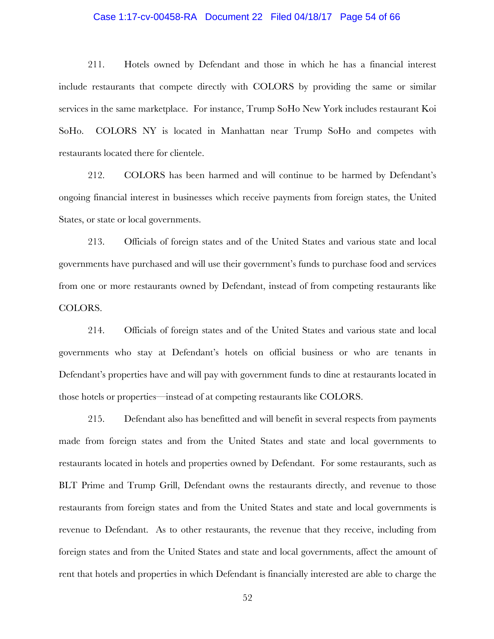### Case 1:17-cv-00458-RA Document 22 Filed 04/18/17 Page 54 of 66

211. Hotels owned by Defendant and those in which he has a financial interest include restaurants that compete directly with COLORS by providing the same or similar services in the same marketplace. For instance, Trump SoHo New York includes restaurant Koi SoHo. COLORS NY is located in Manhattan near Trump SoHo and competes with restaurants located there for clientele.

212. COLORS has been harmed and will continue to be harmed by Defendant's ongoing financial interest in businesses which receive payments from foreign states, the United States, or state or local governments.

213. Officials of foreign states and of the United States and various state and local governments have purchased and will use their government's funds to purchase food and services from one or more restaurants owned by Defendant, instead of from competing restaurants like COLORS.

214. Officials of foreign states and of the United States and various state and local governments who stay at Defendant's hotels on official business or who are tenants in Defendant's properties have and will pay with government funds to dine at restaurants located in those hotels or properties—instead of at competing restaurants like COLORS.

215. Defendant also has benefitted and will benefit in several respects from payments made from foreign states and from the United States and state and local governments to restaurants located in hotels and properties owned by Defendant. For some restaurants, such as BLT Prime and Trump Grill, Defendant owns the restaurants directly, and revenue to those restaurants from foreign states and from the United States and state and local governments is revenue to Defendant. As to other restaurants, the revenue that they receive, including from foreign states and from the United States and state and local governments, affect the amount of rent that hotels and properties in which Defendant is financially interested are able to charge the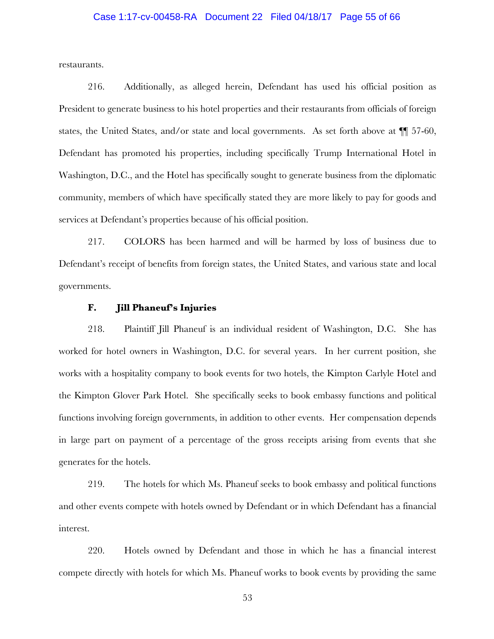### Case 1:17-cv-00458-RA Document 22 Filed 04/18/17 Page 55 of 66

restaurants.

216. Additionally, as alleged herein, Defendant has used his official position as President to generate business to his hotel properties and their restaurants from officials of foreign states, the United States, and/or state and local governments. As set forth above at ¶¶ 57-60, Defendant has promoted his properties, including specifically Trump International Hotel in Washington, D.C., and the Hotel has specifically sought to generate business from the diplomatic community, members of which have specifically stated they are more likely to pay for goods and services at Defendant's properties because of his official position.

217. COLORS has been harmed and will be harmed by loss of business due to Defendant's receipt of benefits from foreign states, the United States, and various state and local governments.

### **F. Jill Phaneuf's Injuries**

218. Plaintiff Jill Phaneuf is an individual resident of Washington, D.C. She has worked for hotel owners in Washington, D.C. for several years. In her current position, she works with a hospitality company to book events for two hotels, the Kimpton Carlyle Hotel and the Kimpton Glover Park Hotel. She specifically seeks to book embassy functions and political functions involving foreign governments, in addition to other events. Her compensation depends in large part on payment of a percentage of the gross receipts arising from events that she generates for the hotels.

219. The hotels for which Ms. Phaneuf seeks to book embassy and political functions and other events compete with hotels owned by Defendant or in which Defendant has a financial interest.

220. Hotels owned by Defendant and those in which he has a financial interest compete directly with hotels for which Ms. Phaneuf works to book events by providing the same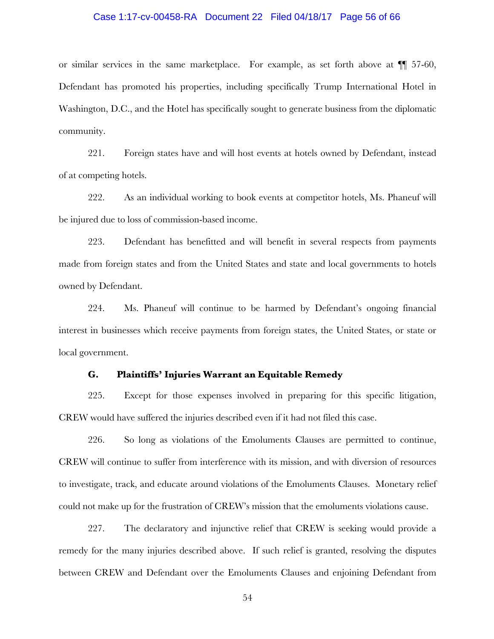#### Case 1:17-cv-00458-RA Document 22 Filed 04/18/17 Page 56 of 66

or similar services in the same marketplace. For example, as set forth above at ¶¶ 57-60, Defendant has promoted his properties, including specifically Trump International Hotel in Washington, D.C., and the Hotel has specifically sought to generate business from the diplomatic community.

221. Foreign states have and will host events at hotels owned by Defendant, instead of at competing hotels.

222. As an individual working to book events at competitor hotels, Ms. Phaneuf will be injured due to loss of commission-based income.

223. Defendant has benefitted and will benefit in several respects from payments made from foreign states and from the United States and state and local governments to hotels owned by Defendant.

224. Ms. Phaneuf will continue to be harmed by Defendant's ongoing financial interest in businesses which receive payments from foreign states, the United States, or state or local government.

### **G. Plaintiffs' Injuries Warrant an Equitable Remedy**

225. Except for those expenses involved in preparing for this specific litigation, CREW would have suffered the injuries described even if it had not filed this case.

226. So long as violations of the Emoluments Clauses are permitted to continue, CREW will continue to suffer from interference with its mission, and with diversion of resources to investigate, track, and educate around violations of the Emoluments Clauses. Monetary relief could not make up for the frustration of CREW's mission that the emoluments violations cause.

227. The declaratory and injunctive relief that CREW is seeking would provide a remedy for the many injuries described above. If such relief is granted, resolving the disputes between CREW and Defendant over the Emoluments Clauses and enjoining Defendant from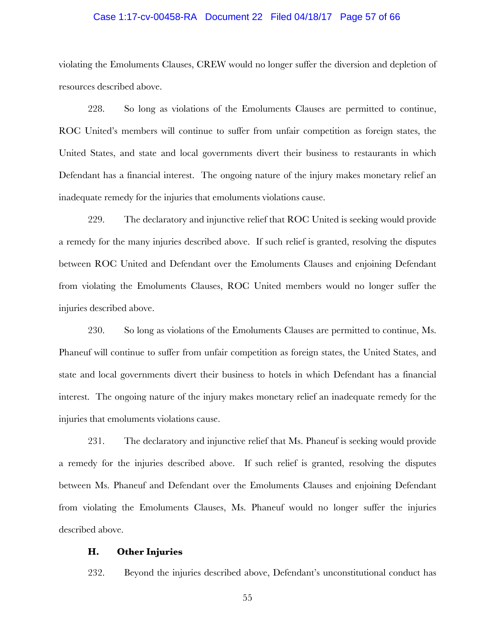#### Case 1:17-cv-00458-RA Document 22 Filed 04/18/17 Page 57 of 66

violating the Emoluments Clauses, CREW would no longer suffer the diversion and depletion of resources described above.

228. So long as violations of the Emoluments Clauses are permitted to continue, ROC United's members will continue to suffer from unfair competition as foreign states, the United States, and state and local governments divert their business to restaurants in which Defendant has a financial interest. The ongoing nature of the injury makes monetary relief an inadequate remedy for the injuries that emoluments violations cause.

229. The declaratory and injunctive relief that ROC United is seeking would provide a remedy for the many injuries described above. If such relief is granted, resolving the disputes between ROC United and Defendant over the Emoluments Clauses and enjoining Defendant from violating the Emoluments Clauses, ROC United members would no longer suffer the injuries described above.

230. So long as violations of the Emoluments Clauses are permitted to continue, Ms. Phaneuf will continue to suffer from unfair competition as foreign states, the United States, and state and local governments divert their business to hotels in which Defendant has a financial interest. The ongoing nature of the injury makes monetary relief an inadequate remedy for the injuries that emoluments violations cause.

231. The declaratory and injunctive relief that Ms. Phaneuf is seeking would provide a remedy for the injuries described above. If such relief is granted, resolving the disputes between Ms. Phaneuf and Defendant over the Emoluments Clauses and enjoining Defendant from violating the Emoluments Clauses, Ms. Phaneuf would no longer suffer the injuries described above.

### **H. Other Injuries**

232. Beyond the injuries described above, Defendant's unconstitutional conduct has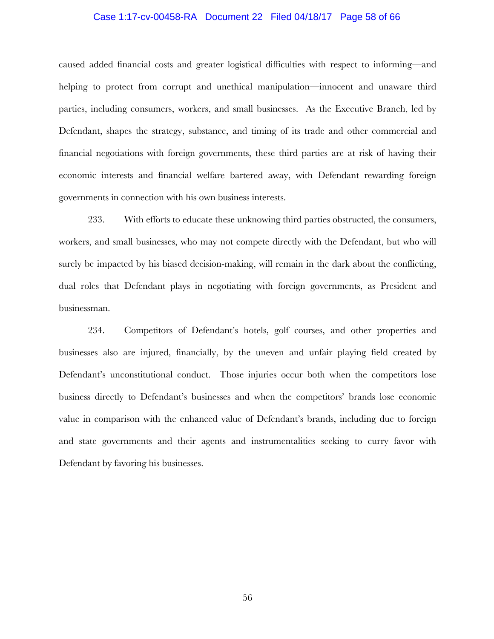### Case 1:17-cv-00458-RA Document 22 Filed 04/18/17 Page 58 of 66

caused added financial costs and greater logistical difficulties with respect to informing—and helping to protect from corrupt and unethical manipulation—innocent and unaware third parties, including consumers, workers, and small businesses. As the Executive Branch, led by Defendant, shapes the strategy, substance, and timing of its trade and other commercial and financial negotiations with foreign governments, these third parties are at risk of having their economic interests and financial welfare bartered away, with Defendant rewarding foreign governments in connection with his own business interests.

233. With efforts to educate these unknowing third parties obstructed, the consumers, workers, and small businesses, who may not compete directly with the Defendant, but who will surely be impacted by his biased decision-making, will remain in the dark about the conflicting, dual roles that Defendant plays in negotiating with foreign governments, as President and businessman.

234. Competitors of Defendant's hotels, golf courses, and other properties and businesses also are injured, financially, by the uneven and unfair playing field created by Defendant's unconstitutional conduct. Those injuries occur both when the competitors lose business directly to Defendant's businesses and when the competitors' brands lose economic value in comparison with the enhanced value of Defendant's brands, including due to foreign and state governments and their agents and instrumentalities seeking to curry favor with Defendant by favoring his businesses.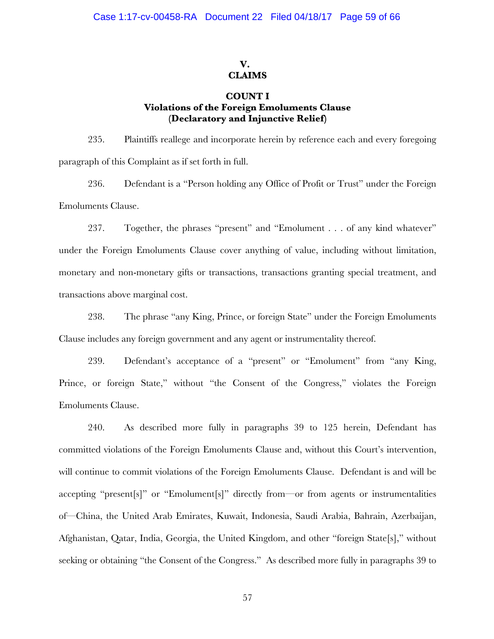# **V.**

# **CLAIMS**

## **COUNT I Violations of the Foreign Emoluments Clause (Declaratory and Injunctive Relief)**

235. Plaintiffs reallege and incorporate herein by reference each and every foregoing paragraph of this Complaint as if set forth in full.

236. Defendant is a "Person holding any Office of Profit or Trust" under the Foreign Emoluments Clause.

237. Together, the phrases "present" and "Emolument . . . of any kind whatever" under the Foreign Emoluments Clause cover anything of value, including without limitation, monetary and non-monetary gifts or transactions, transactions granting special treatment, and transactions above marginal cost.

238. The phrase "any King, Prince, or foreign State" under the Foreign Emoluments Clause includes any foreign government and any agent or instrumentality thereof.

239. Defendant's acceptance of a "present" or "Emolument" from "any King, Prince, or foreign State," without "the Consent of the Congress," violates the Foreign Emoluments Clause.

240. As described more fully in paragraphs 39 to 125 herein, Defendant has committed violations of the Foreign Emoluments Clause and, without this Court's intervention, will continue to commit violations of the Foreign Emoluments Clause. Defendant is and will be accepting "present[s]" or "Emolument[s]" directly from—or from agents or instrumentalities of—China, the United Arab Emirates, Kuwait, Indonesia, Saudi Arabia, Bahrain, Azerbaijan, Afghanistan, Qatar, India, Georgia, the United Kingdom, and other "foreign State[s]," without seeking or obtaining "the Consent of the Congress." As described more fully in paragraphs 39 to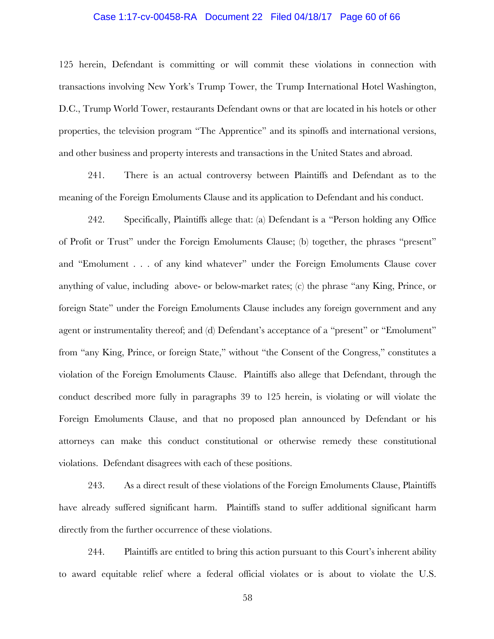### Case 1:17-cv-00458-RA Document 22 Filed 04/18/17 Page 60 of 66

125 herein, Defendant is committing or will commit these violations in connection with transactions involving New York's Trump Tower, the Trump International Hotel Washington, D.C., Trump World Tower, restaurants Defendant owns or that are located in his hotels or other properties, the television program "The Apprentice" and its spinoffs and international versions, and other business and property interests and transactions in the United States and abroad.

241. There is an actual controversy between Plaintiffs and Defendant as to the meaning of the Foreign Emoluments Clause and its application to Defendant and his conduct.

242. Specifically, Plaintiffs allege that: (a) Defendant is a "Person holding any Office of Profit or Trust" under the Foreign Emoluments Clause; (b) together, the phrases "present" and "Emolument . . . of any kind whatever" under the Foreign Emoluments Clause cover anything of value, including above- or below-market rates; (c) the phrase "any King, Prince, or foreign State" under the Foreign Emoluments Clause includes any foreign government and any agent or instrumentality thereof; and (d) Defendant's acceptance of a "present" or "Emolument" from "any King, Prince, or foreign State," without "the Consent of the Congress," constitutes a violation of the Foreign Emoluments Clause. Plaintiffs also allege that Defendant, through the conduct described more fully in paragraphs 39 to 125 herein, is violating or will violate the Foreign Emoluments Clause, and that no proposed plan announced by Defendant or his attorneys can make this conduct constitutional or otherwise remedy these constitutional violations. Defendant disagrees with each of these positions.

243. As a direct result of these violations of the Foreign Emoluments Clause, Plaintiffs have already suffered significant harm. Plaintiffs stand to suffer additional significant harm directly from the further occurrence of these violations.

244. Plaintiffs are entitled to bring this action pursuant to this Court's inherent ability to award equitable relief where a federal official violates or is about to violate the U.S.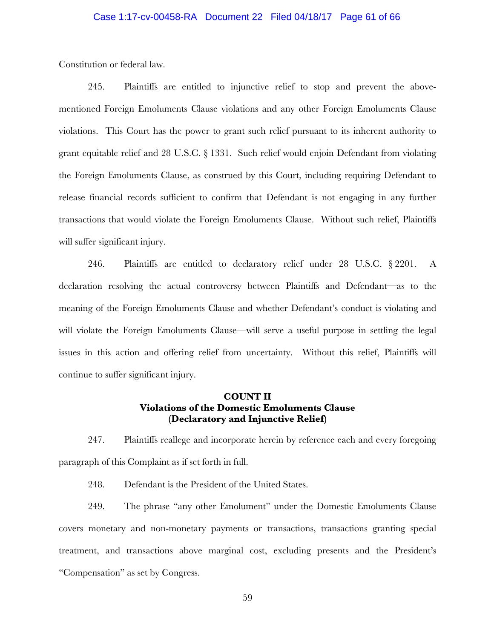### Case 1:17-cv-00458-RA Document 22 Filed 04/18/17 Page 61 of 66

Constitution or federal law.

245. Plaintiffs are entitled to injunctive relief to stop and prevent the abovementioned Foreign Emoluments Clause violations and any other Foreign Emoluments Clause violations. This Court has the power to grant such relief pursuant to its inherent authority to grant equitable relief and 28 U.S.C. § 1331. Such relief would enjoin Defendant from violating the Foreign Emoluments Clause, as construed by this Court, including requiring Defendant to release financial records sufficient to confirm that Defendant is not engaging in any further transactions that would violate the Foreign Emoluments Clause. Without such relief, Plaintiffs will suffer significant injury.

246. Plaintiffs are entitled to declaratory relief under 28 U.S.C. § 2201. A declaration resolving the actual controversy between Plaintiffs and Defendant—as to the meaning of the Foreign Emoluments Clause and whether Defendant's conduct is violating and will violate the Foreign Emoluments Clause—will serve a useful purpose in settling the legal issues in this action and offering relief from uncertainty. Without this relief, Plaintiffs will continue to suffer significant injury.

## **COUNT II Violations of the Domestic Emoluments Clause (Declaratory and Injunctive Relief)**

247. Plaintiffs reallege and incorporate herein by reference each and every foregoing paragraph of this Complaint as if set forth in full.

248. Defendant is the President of the United States.

249. The phrase "any other Emolument" under the Domestic Emoluments Clause covers monetary and non-monetary payments or transactions, transactions granting special treatment, and transactions above marginal cost, excluding presents and the President's "Compensation" as set by Congress.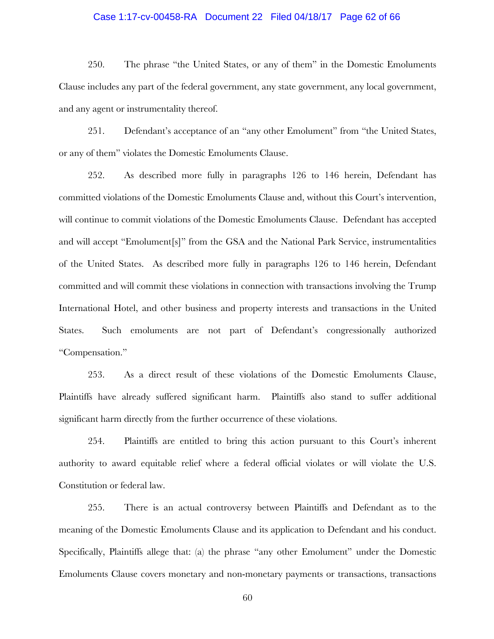### Case 1:17-cv-00458-RA Document 22 Filed 04/18/17 Page 62 of 66

250. The phrase "the United States, or any of them" in the Domestic Emoluments Clause includes any part of the federal government, any state government, any local government, and any agent or instrumentality thereof.

251. Defendant's acceptance of an "any other Emolument" from "the United States, or any of them" violates the Domestic Emoluments Clause.

252. As described more fully in paragraphs 126 to 146 herein, Defendant has committed violations of the Domestic Emoluments Clause and, without this Court's intervention, will continue to commit violations of the Domestic Emoluments Clause. Defendant has accepted and will accept "Emolument[s]" from the GSA and the National Park Service, instrumentalities of the United States. As described more fully in paragraphs 126 to 146 herein, Defendant committed and will commit these violations in connection with transactions involving the Trump International Hotel, and other business and property interests and transactions in the United States. Such emoluments are not part of Defendant's congressionally authorized "Compensation."

253. As a direct result of these violations of the Domestic Emoluments Clause, Plaintiffs have already suffered significant harm. Plaintiffs also stand to suffer additional significant harm directly from the further occurrence of these violations.

254. Plaintiffs are entitled to bring this action pursuant to this Court's inherent authority to award equitable relief where a federal official violates or will violate the U.S. Constitution or federal law.

255. There is an actual controversy between Plaintiffs and Defendant as to the meaning of the Domestic Emoluments Clause and its application to Defendant and his conduct. Specifically, Plaintiffs allege that: (a) the phrase "any other Emolument" under the Domestic Emoluments Clause covers monetary and non-monetary payments or transactions, transactions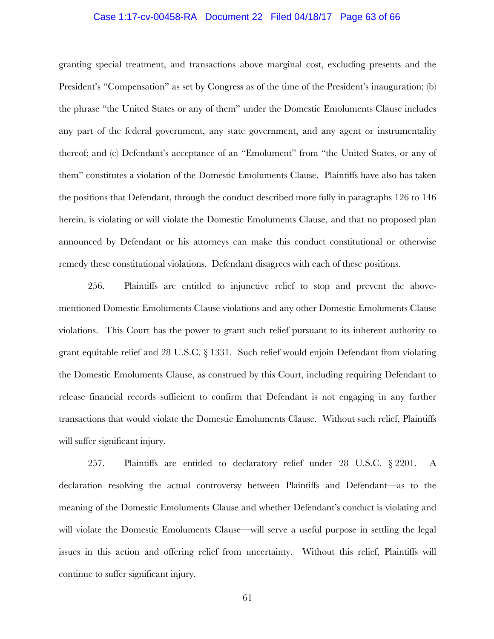### Case 1:17-cv-00458-RA Document 22 Filed 04/18/17 Page 63 of 66

granting special treatment, and transactions above marginal cost, excluding presents and the President's "Compensation" as set by Congress as of the time of the President's inauguration; (b) the phrase "the United States or any of them" under the Domestic Emoluments Clause includes any part of the federal government, any state government, and any agent or instrumentality thereof; and (c) Defendant's acceptance of an "Emolument" from "the United States, or any of them" constitutes a violation of the Domestic Emoluments Clause. Plaintiffs have also has taken the positions that Defendant, through the conduct described more fully in paragraphs 126 to 146 herein, is violating or will violate the Domestic Emoluments Clause, and that no proposed plan announced by Defendant or his attorneys can make this conduct constitutional or otherwise remedy these constitutional violations. Defendant disagrees with each of these positions.

256. Plaintiffs are entitled to injunctive relief to stop and prevent the abovementioned Domestic Emoluments Clause violations and any other Domestic Emoluments Clause violations. This Court has the power to grant such relief pursuant to its inherent authority to grant equitable relief and 28 U.S.C. § 1331. Such relief would enjoin Defendant from violating the Domestic Emoluments Clause, as construed by this Court, including requiring Defendant to release financial records sufficient to confirm that Defendant is not engaging in any further transactions that would violate the Domestic Emoluments Clause. Without such relief, Plaintiffs will suffer significant injury.

257. Plaintiffs are entitled to declaratory relief under 28 U.S.C. § 2201. A declaration resolving the actual controversy between Plaintiffs and Defendant—as to the meaning of the Domestic Emoluments Clause and whether Defendant's conduct is violating and will violate the Domestic Emoluments Clause—will serve a useful purpose in settling the legal issues in this action and offering relief from uncertainty. Without this relief, Plaintiffs will continue to suffer significant injury.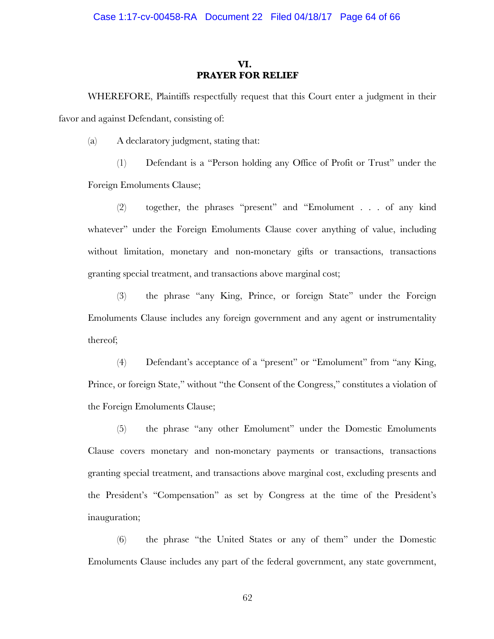## **VI. PRAYER FOR RELIEF**

WHEREFORE, Plaintiffs respectfully request that this Court enter a judgment in their favor and against Defendant, consisting of:

(a) A declaratory judgment, stating that:

(1) Defendant is a "Person holding any Office of Profit or Trust" under the Foreign Emoluments Clause;

(2) together, the phrases "present" and "Emolument . . . of any kind whatever" under the Foreign Emoluments Clause cover anything of value, including without limitation, monetary and non-monetary gifts or transactions, transactions granting special treatment, and transactions above marginal cost;

(3) the phrase "any King, Prince, or foreign State" under the Foreign Emoluments Clause includes any foreign government and any agent or instrumentality thereof;

(4) Defendant's acceptance of a "present" or "Emolument" from "any King, Prince, or foreign State," without "the Consent of the Congress," constitutes a violation of the Foreign Emoluments Clause;

(5) the phrase "any other Emolument" under the Domestic Emoluments Clause covers monetary and non-monetary payments or transactions, transactions granting special treatment, and transactions above marginal cost, excluding presents and the President's "Compensation" as set by Congress at the time of the President's inauguration;

(6) the phrase "the United States or any of them" under the Domestic Emoluments Clause includes any part of the federal government, any state government,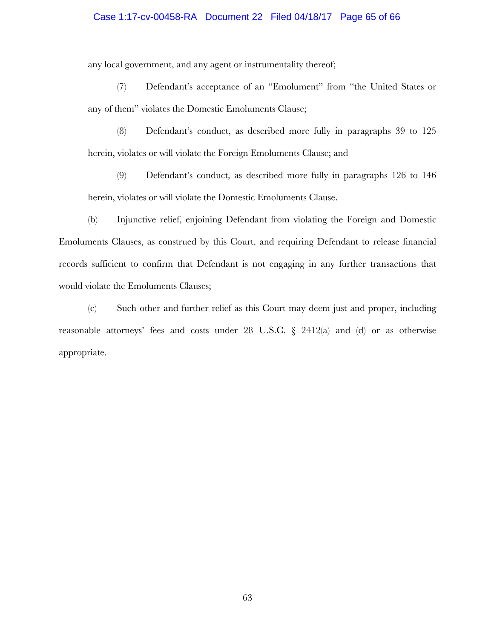### Case 1:17-cv-00458-RA Document 22 Filed 04/18/17 Page 65 of 66

any local government, and any agent or instrumentality thereof;

(7) Defendant's acceptance of an "Emolument" from "the United States or any of them" violates the Domestic Emoluments Clause;

(8) Defendant's conduct, as described more fully in paragraphs 39 to 125 herein, violates or will violate the Foreign Emoluments Clause; and

(9) Defendant's conduct, as described more fully in paragraphs 126 to 146 herein, violates or will violate the Domestic Emoluments Clause.

(b) Injunctive relief, enjoining Defendant from violating the Foreign and Domestic Emoluments Clauses, as construed by this Court, and requiring Defendant to release financial records sufficient to confirm that Defendant is not engaging in any further transactions that would violate the Emoluments Clauses;

(c) Such other and further relief as this Court may deem just and proper, including reasonable attorneys' fees and costs under 28 U.S.C. § 2412(a) and (d) or as otherwise appropriate.